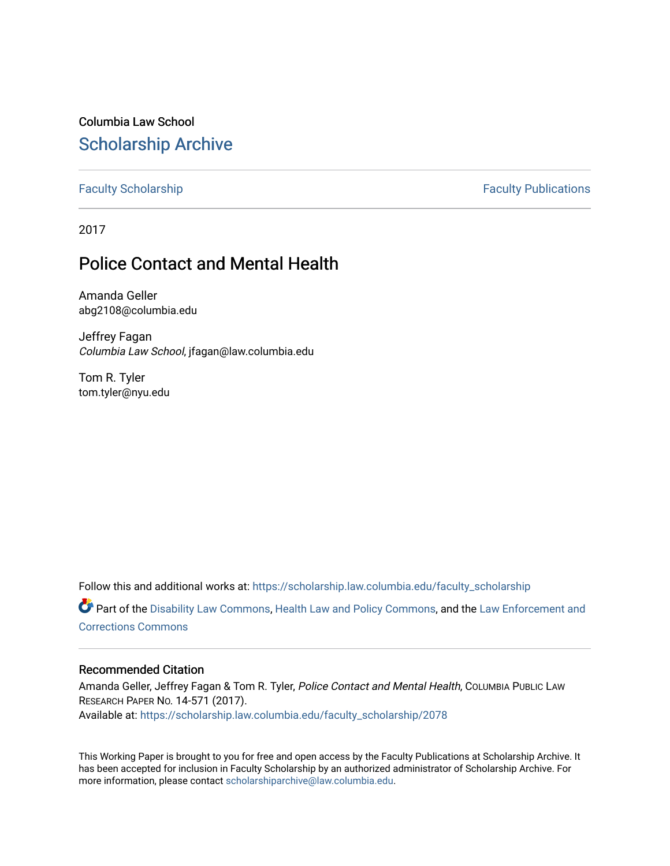Columbia Law School [Scholarship Archive](https://scholarship.law.columbia.edu/) 

[Faculty Scholarship](https://scholarship.law.columbia.edu/faculty_scholarship) **Faculty Scholarship Faculty Publications** 

2017

# Police Contact and Mental Health

Amanda Geller abg2108@columbia.edu

Jeffrey Fagan Columbia Law School, jfagan@law.columbia.edu

Tom R. Tyler tom.tyler@nyu.edu

Follow this and additional works at: [https://scholarship.law.columbia.edu/faculty\\_scholarship](https://scholarship.law.columbia.edu/faculty_scholarship?utm_source=scholarship.law.columbia.edu%2Ffaculty_scholarship%2F2078&utm_medium=PDF&utm_campaign=PDFCoverPages) Part of the [Disability Law Commons](http://network.bepress.com/hgg/discipline/1074?utm_source=scholarship.law.columbia.edu%2Ffaculty_scholarship%2F2078&utm_medium=PDF&utm_campaign=PDFCoverPages), [Health Law and Policy Commons](http://network.bepress.com/hgg/discipline/901?utm_source=scholarship.law.columbia.edu%2Ffaculty_scholarship%2F2078&utm_medium=PDF&utm_campaign=PDFCoverPages), and the [Law Enforcement and](http://network.bepress.com/hgg/discipline/854?utm_source=scholarship.law.columbia.edu%2Ffaculty_scholarship%2F2078&utm_medium=PDF&utm_campaign=PDFCoverPages)

[Corrections Commons](http://network.bepress.com/hgg/discipline/854?utm_source=scholarship.law.columbia.edu%2Ffaculty_scholarship%2F2078&utm_medium=PDF&utm_campaign=PDFCoverPages) 

#### Recommended Citation

Amanda Geller, Jeffrey Fagan & Tom R. Tyler, Police Contact and Mental Health, COLUMBIA PUBLIC LAW RESEARCH PAPER NO. 14-571 (2017). Available at: [https://scholarship.law.columbia.edu/faculty\\_scholarship/2078](https://scholarship.law.columbia.edu/faculty_scholarship/2078?utm_source=scholarship.law.columbia.edu%2Ffaculty_scholarship%2F2078&utm_medium=PDF&utm_campaign=PDFCoverPages)

This Working Paper is brought to you for free and open access by the Faculty Publications at Scholarship Archive. It has been accepted for inclusion in Faculty Scholarship by an authorized administrator of Scholarship Archive. For more information, please contact [scholarshiparchive@law.columbia.edu.](mailto:scholarshiparchive@law.columbia.edu)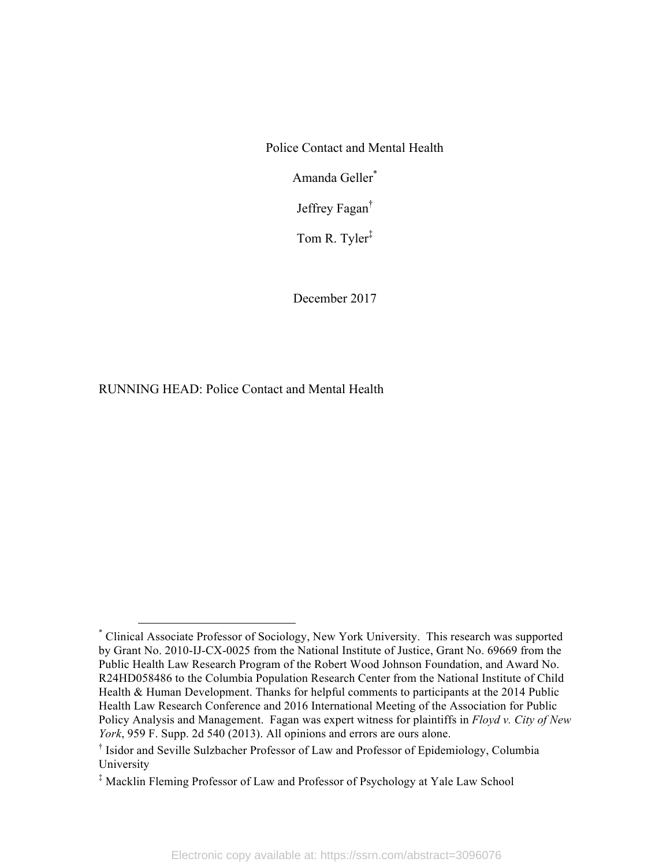Police Contact and Mental Health

Amanda Geller\*

Jeffrey Fagan†

Tom R. Tyler‡

December 2017

RUNNING HEAD: Police Contact and Mental Health

 <sup>\*</sup> Clinical Associate Professor of Sociology, New York University. This research was supported by Grant No. 2010-IJ-CX-0025 from the National Institute of Justice, Grant No. 69669 from the Public Health Law Research Program of the Robert Wood Johnson Foundation, and Award No. R24HD058486 to the Columbia Population Research Center from the National Institute of Child Health & Human Development. Thanks for helpful comments to participants at the 2014 Public Health Law Research Conference and 2016 International Meeting of the Association for Public Policy Analysis and Management. Fagan was expert witness for plaintiffs in *Floyd v. City of New York*, 959 F. Supp. 2d 540 (2013). All opinions and errors are ours alone.

<sup>†</sup> Isidor and Seville Sulzbacher Professor of Law and Professor of Epidemiology, Columbia University

<sup>‡</sup> Macklin Fleming Professor of Law and Professor of Psychology at Yale Law School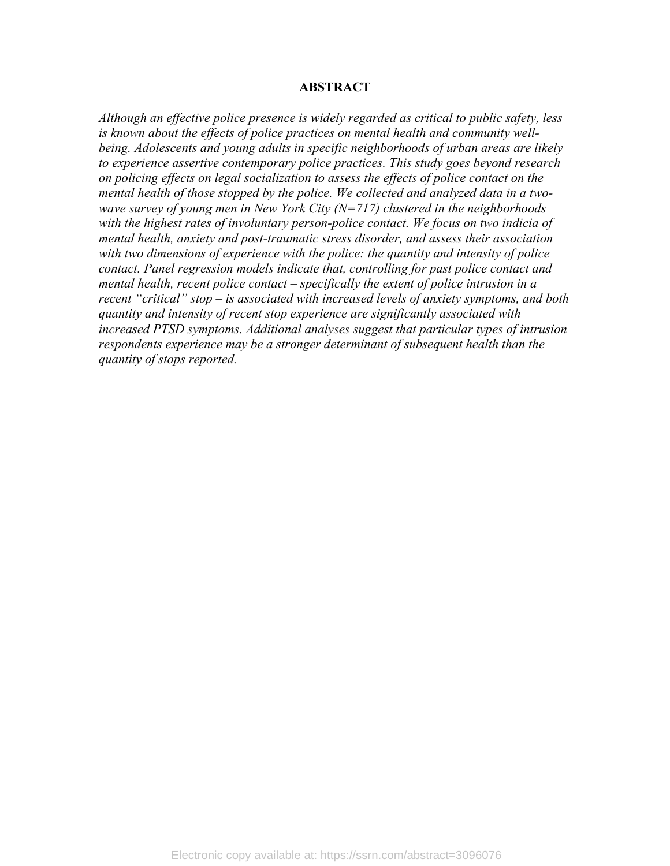#### **ABSTRACT**

*Although an effective police presence is widely regarded as critical to public safety, less is known about the effects of police practices on mental health and community wellbeing. Adolescents and young adults in specific neighborhoods of urban areas are likely to experience assertive contemporary police practices. This study goes beyond research on policing effects on legal socialization to assess the effects of police contact on the mental health of those stopped by the police. We collected and analyzed data in a twowave survey of young men in New York City (N=717) clustered in the neighborhoods with the highest rates of involuntary person-police contact. We focus on two indicia of mental health, anxiety and post-traumatic stress disorder, and assess their association with two dimensions of experience with the police: the quantity and intensity of police contact. Panel regression models indicate that, controlling for past police contact and mental health, recent police contact – specifically the extent of police intrusion in a recent "critical" stop – is associated with increased levels of anxiety symptoms, and both quantity and intensity of recent stop experience are significantly associated with increased PTSD symptoms. Additional analyses suggest that particular types of intrusion respondents experience may be a stronger determinant of subsequent health than the quantity of stops reported.*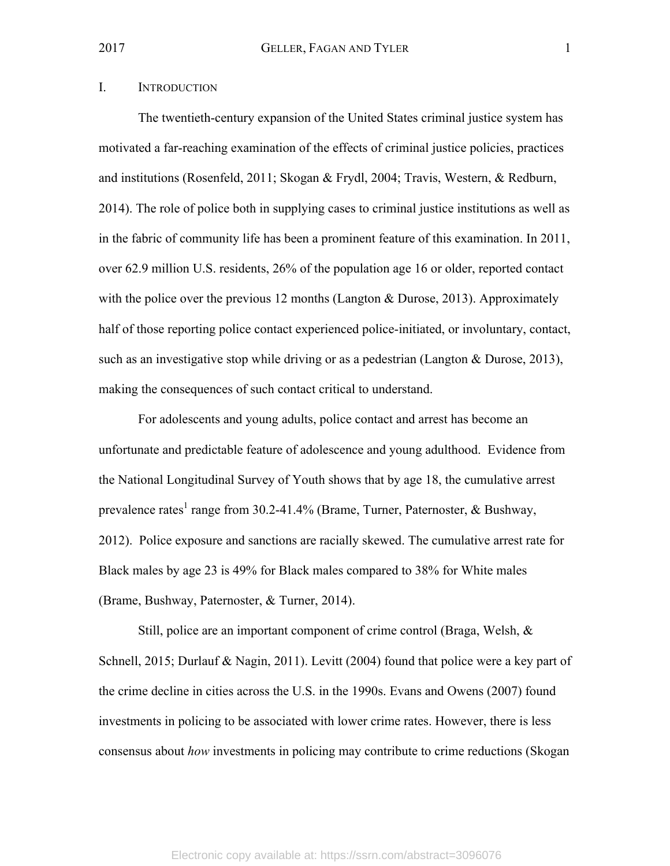### I. INTRODUCTION

The twentieth-century expansion of the United States criminal justice system has motivated a far-reaching examination of the effects of criminal justice policies, practices and institutions (Rosenfeld, 2011; Skogan & Frydl, 2004; Travis, Western, & Redburn, 2014). The role of police both in supplying cases to criminal justice institutions as well as in the fabric of community life has been a prominent feature of this examination. In 2011, over 62.9 million U.S. residents, 26% of the population age 16 or older, reported contact with the police over the previous 12 months (Langton & Durose, 2013). Approximately half of those reporting police contact experienced police-initiated, or involuntary, contact, such as an investigative stop while driving or as a pedestrian (Langton & Durose, 2013), making the consequences of such contact critical to understand.

For adolescents and young adults, police contact and arrest has become an unfortunate and predictable feature of adolescence and young adulthood. Evidence from the National Longitudinal Survey of Youth shows that by age 18, the cumulative arrest prevalence rates<sup>1</sup> range from 30.2-41.4% (Brame, Turner, Paternoster, & Bushway, 2012). Police exposure and sanctions are racially skewed. The cumulative arrest rate for Black males by age 23 is 49% for Black males compared to 38% for White males (Brame, Bushway, Paternoster, & Turner, 2014).

Still, police are an important component of crime control (Braga, Welsh, & Schnell, 2015; Durlauf & Nagin, 2011). Levitt (2004) found that police were a key part of the crime decline in cities across the U.S. in the 1990s. Evans and Owens (2007) found investments in policing to be associated with lower crime rates. However, there is less consensus about *how* investments in policing may contribute to crime reductions (Skogan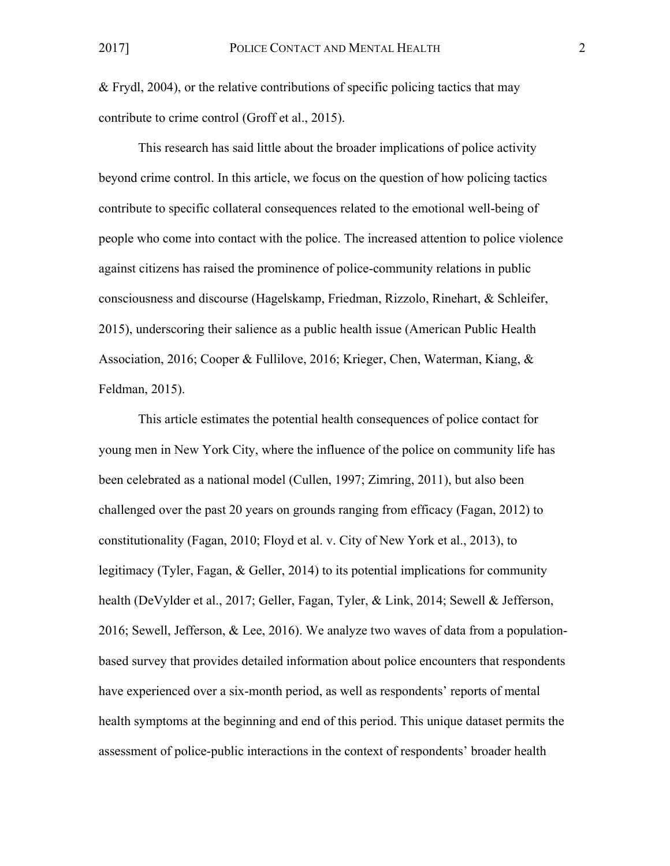& Frydl, 2004), or the relative contributions of specific policing tactics that may contribute to crime control (Groff et al., 2015).

This research has said little about the broader implications of police activity beyond crime control. In this article, we focus on the question of how policing tactics contribute to specific collateral consequences related to the emotional well-being of people who come into contact with the police. The increased attention to police violence against citizens has raised the prominence of police-community relations in public consciousness and discourse (Hagelskamp, Friedman, Rizzolo, Rinehart, & Schleifer, 2015), underscoring their salience as a public health issue (American Public Health Association, 2016; Cooper & Fullilove, 2016; Krieger, Chen, Waterman, Kiang, & Feldman, 2015).

This article estimates the potential health consequences of police contact for young men in New York City, where the influence of the police on community life has been celebrated as a national model (Cullen, 1997; Zimring, 2011), but also been challenged over the past 20 years on grounds ranging from efficacy (Fagan, 2012) to constitutionality (Fagan, 2010; Floyd et al. v. City of New York et al., 2013), to legitimacy (Tyler, Fagan, & Geller, 2014) to its potential implications for community health (DeVylder et al., 2017; Geller, Fagan, Tyler, & Link, 2014; Sewell & Jefferson, 2016; Sewell, Jefferson, & Lee, 2016). We analyze two waves of data from a populationbased survey that provides detailed information about police encounters that respondents have experienced over a six-month period, as well as respondents' reports of mental health symptoms at the beginning and end of this period. This unique dataset permits the assessment of police-public interactions in the context of respondents' broader health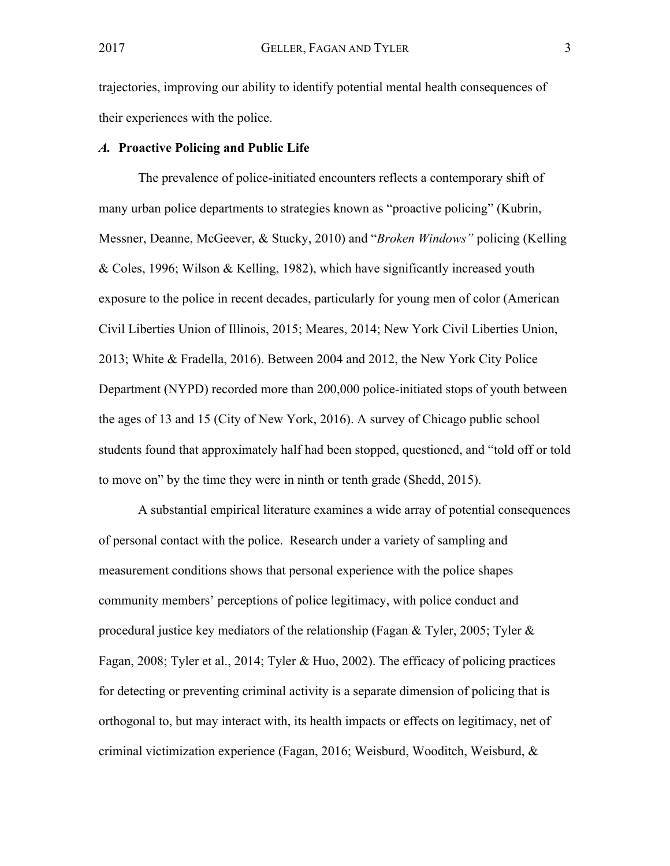trajectories, improving our ability to identify potential mental health consequences of their experiences with the police.

#### *A.* **Proactive Policing and Public Life**

The prevalence of police-initiated encounters reflects a contemporary shift of many urban police departments to strategies known as "proactive policing" (Kubrin, Messner, Deanne, McGeever, & Stucky, 2010) and "*Broken Windows"* policing (Kelling & Coles, 1996; Wilson & Kelling, 1982), which have significantly increased youth exposure to the police in recent decades, particularly for young men of color (American Civil Liberties Union of Illinois, 2015; Meares, 2014; New York Civil Liberties Union, 2013; White & Fradella, 2016). Between 2004 and 2012, the New York City Police Department (NYPD) recorded more than 200,000 police-initiated stops of youth between the ages of 13 and 15 (City of New York, 2016). A survey of Chicago public school students found that approximately half had been stopped, questioned, and "told off or told to move on" by the time they were in ninth or tenth grade (Shedd, 2015).

A substantial empirical literature examines a wide array of potential consequences of personal contact with the police. Research under a variety of sampling and measurement conditions shows that personal experience with the police shapes community members' perceptions of police legitimacy, with police conduct and procedural justice key mediators of the relationship (Fagan & Tyler, 2005; Tyler & Fagan, 2008; Tyler et al., 2014; Tyler & Huo, 2002). The efficacy of policing practices for detecting or preventing criminal activity is a separate dimension of policing that is orthogonal to, but may interact with, its health impacts or effects on legitimacy, net of criminal victimization experience (Fagan, 2016; Weisburd, Wooditch, Weisburd, &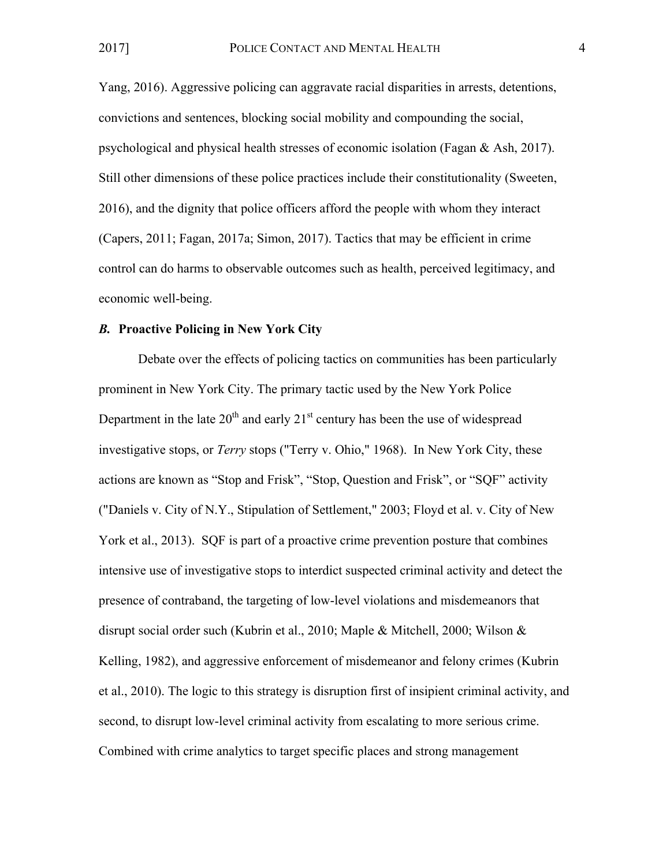Yang, 2016). Aggressive policing can aggravate racial disparities in arrests, detentions, convictions and sentences, blocking social mobility and compounding the social, psychological and physical health stresses of economic isolation (Fagan & Ash, 2017). Still other dimensions of these police practices include their constitutionality (Sweeten, 2016), and the dignity that police officers afford the people with whom they interact (Capers, 2011; Fagan, 2017a; Simon, 2017). Tactics that may be efficient in crime control can do harms to observable outcomes such as health, perceived legitimacy, and economic well-being.

#### *B.* **Proactive Policing in New York City**

Debate over the effects of policing tactics on communities has been particularly prominent in New York City. The primary tactic used by the New York Police Department in the late  $20<sup>th</sup>$  and early  $21<sup>st</sup>$  century has been the use of widespread investigative stops, or *Terry* stops ("Terry v. Ohio," 1968). In New York City, these actions are known as "Stop and Frisk", "Stop, Question and Frisk", or "SQF" activity ("Daniels v. City of N.Y., Stipulation of Settlement," 2003; Floyd et al. v. City of New York et al., 2013). SQF is part of a proactive crime prevention posture that combines intensive use of investigative stops to interdict suspected criminal activity and detect the presence of contraband, the targeting of low-level violations and misdemeanors that disrupt social order such (Kubrin et al., 2010; Maple & Mitchell, 2000; Wilson & Kelling, 1982), and aggressive enforcement of misdemeanor and felony crimes (Kubrin et al., 2010). The logic to this strategy is disruption first of insipient criminal activity, and second, to disrupt low-level criminal activity from escalating to more serious crime. Combined with crime analytics to target specific places and strong management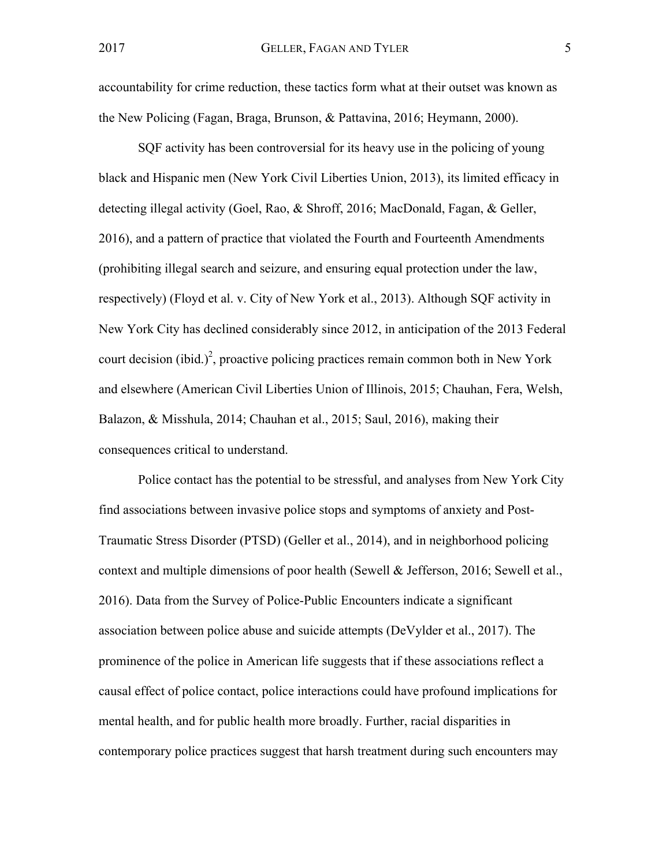accountability for crime reduction, these tactics form what at their outset was known as the New Policing (Fagan, Braga, Brunson, & Pattavina, 2016; Heymann, 2000).

SQF activity has been controversial for its heavy use in the policing of young black and Hispanic men (New York Civil Liberties Union, 2013), its limited efficacy in detecting illegal activity (Goel, Rao, & Shroff, 2016; MacDonald, Fagan, & Geller, 2016), and a pattern of practice that violated the Fourth and Fourteenth Amendments (prohibiting illegal search and seizure, and ensuring equal protection under the law, respectively) (Floyd et al. v. City of New York et al., 2013). Although SQF activity in New York City has declined considerably since 2012, in anticipation of the 2013 Federal court decision (ibid.)<sup>2</sup>, proactive policing practices remain common both in New York and elsewhere (American Civil Liberties Union of Illinois, 2015; Chauhan, Fera, Welsh, Balazon, & Misshula, 2014; Chauhan et al., 2015; Saul, 2016), making their consequences critical to understand.

Police contact has the potential to be stressful, and analyses from New York City find associations between invasive police stops and symptoms of anxiety and Post-Traumatic Stress Disorder (PTSD) (Geller et al., 2014), and in neighborhood policing context and multiple dimensions of poor health (Sewell & Jefferson, 2016; Sewell et al., 2016). Data from the Survey of Police-Public Encounters indicate a significant association between police abuse and suicide attempts (DeVylder et al., 2017). The prominence of the police in American life suggests that if these associations reflect a causal effect of police contact, police interactions could have profound implications for mental health, and for public health more broadly. Further, racial disparities in contemporary police practices suggest that harsh treatment during such encounters may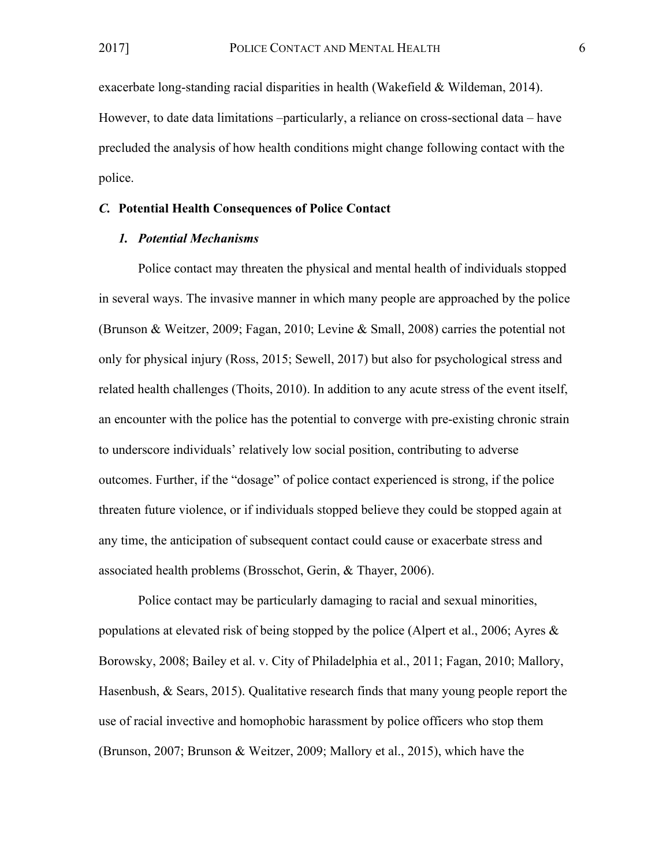exacerbate long-standing racial disparities in health (Wakefield & Wildeman, 2014). However, to date data limitations –particularly, a reliance on cross-sectional data – have precluded the analysis of how health conditions might change following contact with the police.

#### *C.* **Potential Health Consequences of Police Contact**

#### *1. Potential Mechanisms*

Police contact may threaten the physical and mental health of individuals stopped in several ways. The invasive manner in which many people are approached by the police (Brunson & Weitzer, 2009; Fagan, 2010; Levine & Small, 2008) carries the potential not only for physical injury (Ross, 2015; Sewell, 2017) but also for psychological stress and related health challenges (Thoits, 2010). In addition to any acute stress of the event itself, an encounter with the police has the potential to converge with pre-existing chronic strain to underscore individuals' relatively low social position, contributing to adverse outcomes. Further, if the "dosage" of police contact experienced is strong, if the police threaten future violence, or if individuals stopped believe they could be stopped again at any time, the anticipation of subsequent contact could cause or exacerbate stress and associated health problems (Brosschot, Gerin, & Thayer, 2006).

Police contact may be particularly damaging to racial and sexual minorities, populations at elevated risk of being stopped by the police (Alpert et al., 2006; Ayres & Borowsky, 2008; Bailey et al. v. City of Philadelphia et al., 2011; Fagan, 2010; Mallory, Hasenbush, & Sears, 2015). Qualitative research finds that many young people report the use of racial invective and homophobic harassment by police officers who stop them (Brunson, 2007; Brunson & Weitzer, 2009; Mallory et al., 2015), which have the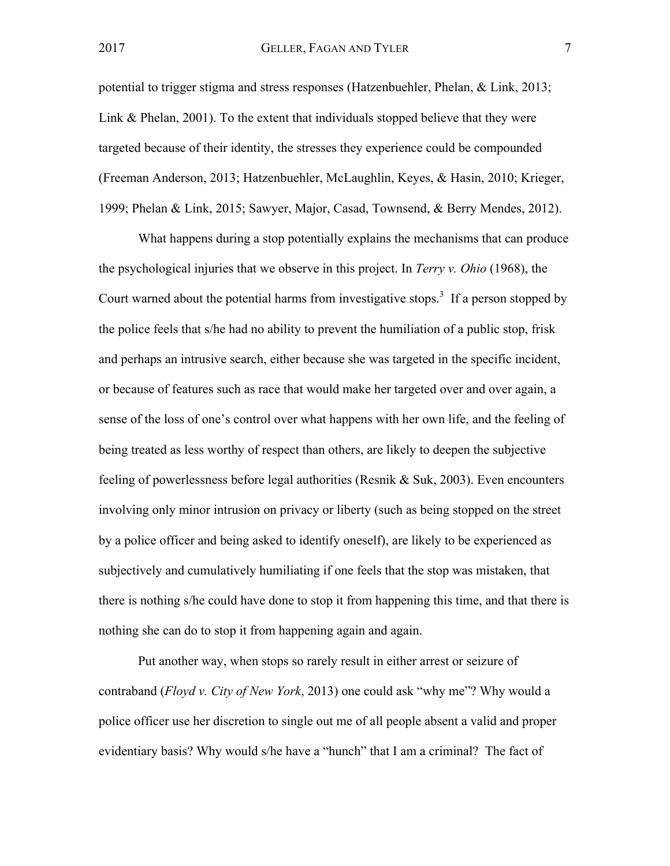potential to trigger stigma and stress responses (Hatzenbuehler, Phelan, & Link, 2013; Link & Phelan, 2001). To the extent that individuals stopped believe that they were targeted because of their identity, the stresses they experience could be compounded (Freeman Anderson, 2013; Hatzenbuehler, McLaughlin, Keyes, & Hasin, 2010; Krieger, 1999; Phelan & Link, 2015; Sawyer, Major, Casad, Townsend, & Berry Mendes, 2012).

What happens during a stop potentially explains the mechanisms that can produce the psychological injuries that we observe in this project. In *Terry v. Ohio* (1968), the Court warned about the potential harms from investigative stops.<sup>3</sup> If a person stopped by the police feels that s/he had no ability to prevent the humiliation of a public stop, frisk and perhaps an intrusive search, either because she was targeted in the specific incident, or because of features such as race that would make her targeted over and over again, a sense of the loss of one's control over what happens with her own life, and the feeling of being treated as less worthy of respect than others, are likely to deepen the subjective feeling of powerlessness before legal authorities (Resnik & Suk, 2003). Even encounters involving only minor intrusion on privacy or liberty (such as being stopped on the street by a police officer and being asked to identify oneself), are likely to be experienced as subjectively and cumulatively humiliating if one feels that the stop was mistaken, that there is nothing s/he could have done to stop it from happening this time, and that there is nothing she can do to stop it from happening again and again.

Put another way, when stops so rarely result in either arrest or seizure of contraband (*Floyd v. City of New York*, 2013) one could ask "why me"? Why would a police officer use her discretion to single out me of all people absent a valid and proper evidentiary basis? Why would s/he have a "hunch" that I am a criminal? The fact of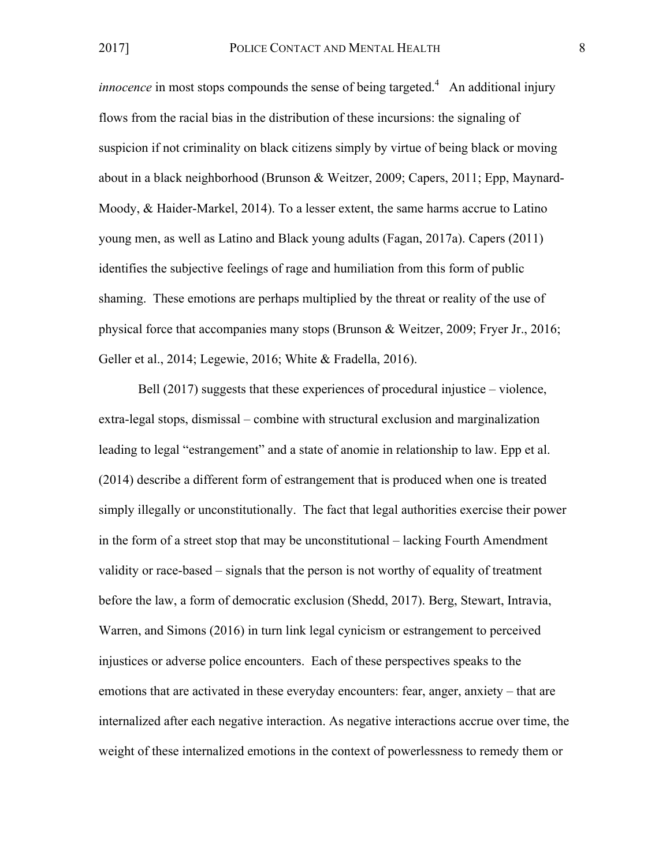*innocence* in most stops compounds the sense of being targeted.<sup>4</sup> An additional injury flows from the racial bias in the distribution of these incursions: the signaling of suspicion if not criminality on black citizens simply by virtue of being black or moving about in a black neighborhood (Brunson & Weitzer, 2009; Capers, 2011; Epp, Maynard-Moody, & Haider-Markel, 2014). To a lesser extent, the same harms accrue to Latino young men, as well as Latino and Black young adults (Fagan, 2017a). Capers (2011) identifies the subjective feelings of rage and humiliation from this form of public shaming. These emotions are perhaps multiplied by the threat or reality of the use of physical force that accompanies many stops (Brunson & Weitzer, 2009; Fryer Jr., 2016; Geller et al., 2014; Legewie, 2016; White & Fradella, 2016).

Bell (2017) suggests that these experiences of procedural injustice – violence, extra-legal stops, dismissal – combine with structural exclusion and marginalization leading to legal "estrangement" and a state of anomie in relationship to law. Epp et al. (2014) describe a different form of estrangement that is produced when one is treated simply illegally or unconstitutionally. The fact that legal authorities exercise their power in the form of a street stop that may be unconstitutional – lacking Fourth Amendment validity or race-based – signals that the person is not worthy of equality of treatment before the law, a form of democratic exclusion (Shedd, 2017). Berg, Stewart, Intravia, Warren, and Simons (2016) in turn link legal cynicism or estrangement to perceived injustices or adverse police encounters. Each of these perspectives speaks to the emotions that are activated in these everyday encounters: fear, anger, anxiety – that are internalized after each negative interaction. As negative interactions accrue over time, the weight of these internalized emotions in the context of powerlessness to remedy them or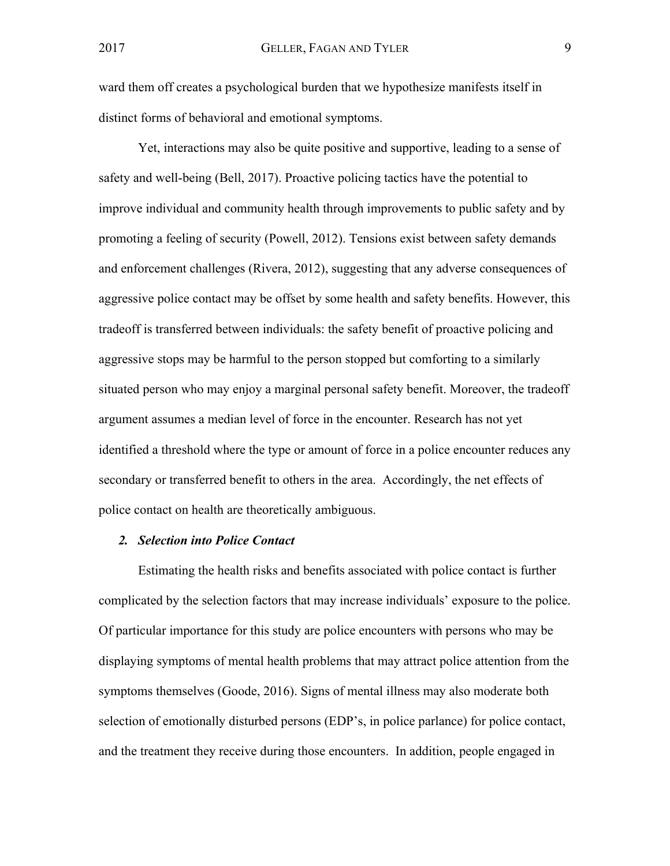ward them off creates a psychological burden that we hypothesize manifests itself in distinct forms of behavioral and emotional symptoms.

Yet, interactions may also be quite positive and supportive, leading to a sense of safety and well-being (Bell, 2017). Proactive policing tactics have the potential to improve individual and community health through improvements to public safety and by promoting a feeling of security (Powell, 2012). Tensions exist between safety demands and enforcement challenges (Rivera, 2012), suggesting that any adverse consequences of aggressive police contact may be offset by some health and safety benefits. However, this tradeoff is transferred between individuals: the safety benefit of proactive policing and aggressive stops may be harmful to the person stopped but comforting to a similarly situated person who may enjoy a marginal personal safety benefit. Moreover, the tradeoff argument assumes a median level of force in the encounter. Research has not yet identified a threshold where the type or amount of force in a police encounter reduces any secondary or transferred benefit to others in the area. Accordingly, the net effects of police contact on health are theoretically ambiguous.

#### *2. Selection into Police Contact*

Estimating the health risks and benefits associated with police contact is further complicated by the selection factors that may increase individuals' exposure to the police. Of particular importance for this study are police encounters with persons who may be displaying symptoms of mental health problems that may attract police attention from the symptoms themselves (Goode, 2016). Signs of mental illness may also moderate both selection of emotionally disturbed persons (EDP's, in police parlance) for police contact, and the treatment they receive during those encounters. In addition, people engaged in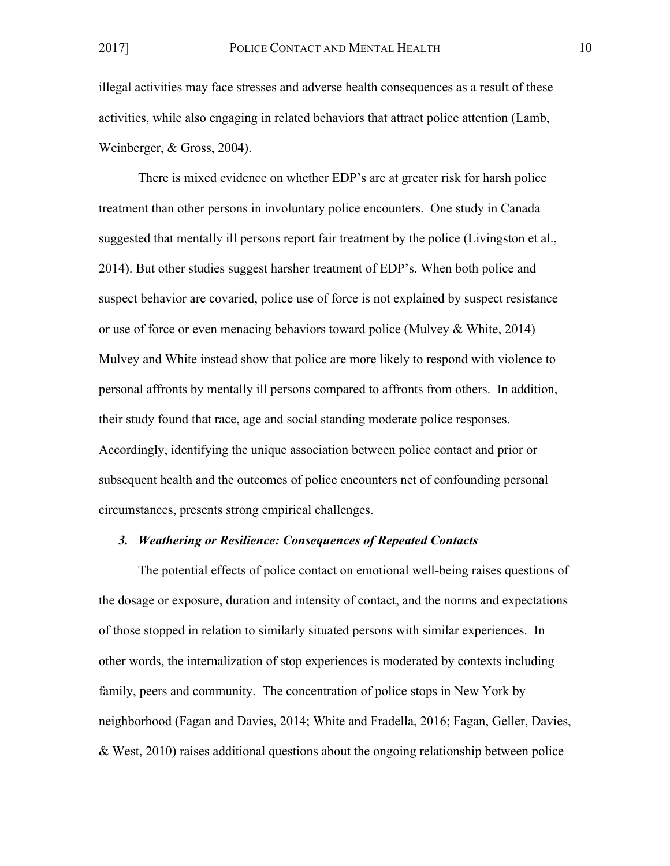illegal activities may face stresses and adverse health consequences as a result of these activities, while also engaging in related behaviors that attract police attention (Lamb, Weinberger, & Gross, 2004).

There is mixed evidence on whether EDP's are at greater risk for harsh police treatment than other persons in involuntary police encounters. One study in Canada suggested that mentally ill persons report fair treatment by the police (Livingston et al., 2014). But other studies suggest harsher treatment of EDP's. When both police and suspect behavior are covaried, police use of force is not explained by suspect resistance or use of force or even menacing behaviors toward police (Mulvey & White, 2014) Mulvey and White instead show that police are more likely to respond with violence to personal affronts by mentally ill persons compared to affronts from others. In addition, their study found that race, age and social standing moderate police responses. Accordingly, identifying the unique association between police contact and prior or subsequent health and the outcomes of police encounters net of confounding personal circumstances, presents strong empirical challenges.

#### *3. Weathering or Resilience: Consequences of Repeated Contacts*

The potential effects of police contact on emotional well-being raises questions of the dosage or exposure, duration and intensity of contact, and the norms and expectations of those stopped in relation to similarly situated persons with similar experiences. In other words, the internalization of stop experiences is moderated by contexts including family, peers and community. The concentration of police stops in New York by neighborhood (Fagan and Davies, 2014; White and Fradella, 2016; Fagan, Geller, Davies, & West, 2010) raises additional questions about the ongoing relationship between police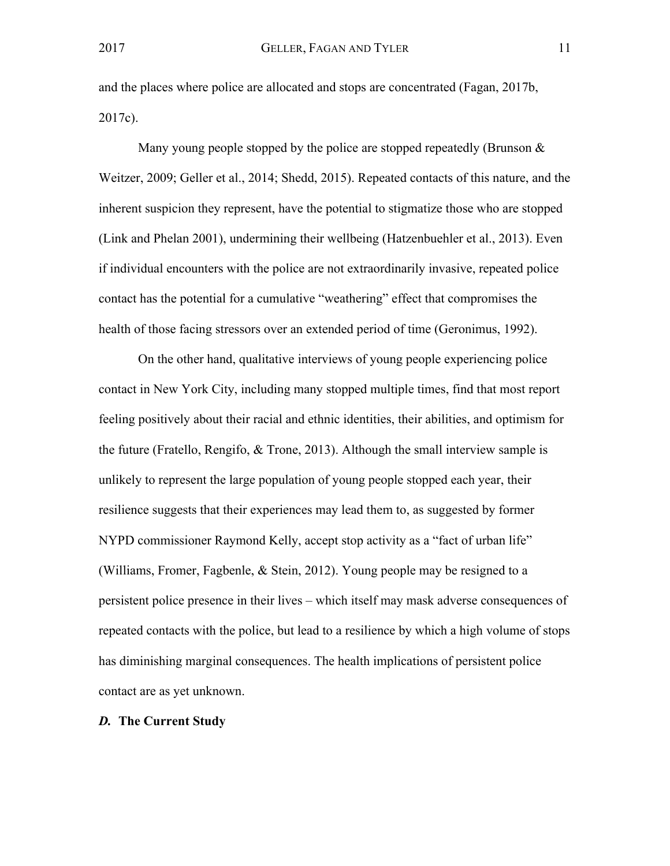and the places where police are allocated and stops are concentrated (Fagan, 2017b, 2017c).

Many young people stopped by the police are stopped repeatedly (Brunson & Weitzer, 2009; Geller et al., 2014; Shedd, 2015). Repeated contacts of this nature, and the inherent suspicion they represent, have the potential to stigmatize those who are stopped (Link and Phelan 2001), undermining their wellbeing (Hatzenbuehler et al., 2013). Even if individual encounters with the police are not extraordinarily invasive, repeated police contact has the potential for a cumulative "weathering" effect that compromises the health of those facing stressors over an extended period of time (Geronimus, 1992).

On the other hand, qualitative interviews of young people experiencing police contact in New York City, including many stopped multiple times, find that most report feeling positively about their racial and ethnic identities, their abilities, and optimism for the future (Fratello, Rengifo, & Trone, 2013). Although the small interview sample is unlikely to represent the large population of young people stopped each year, their resilience suggests that their experiences may lead them to, as suggested by former NYPD commissioner Raymond Kelly, accept stop activity as a "fact of urban life" (Williams, Fromer, Fagbenle, & Stein, 2012). Young people may be resigned to a persistent police presence in their lives – which itself may mask adverse consequences of repeated contacts with the police, but lead to a resilience by which a high volume of stops has diminishing marginal consequences. The health implications of persistent police contact are as yet unknown.

## *D.* **The Current Study**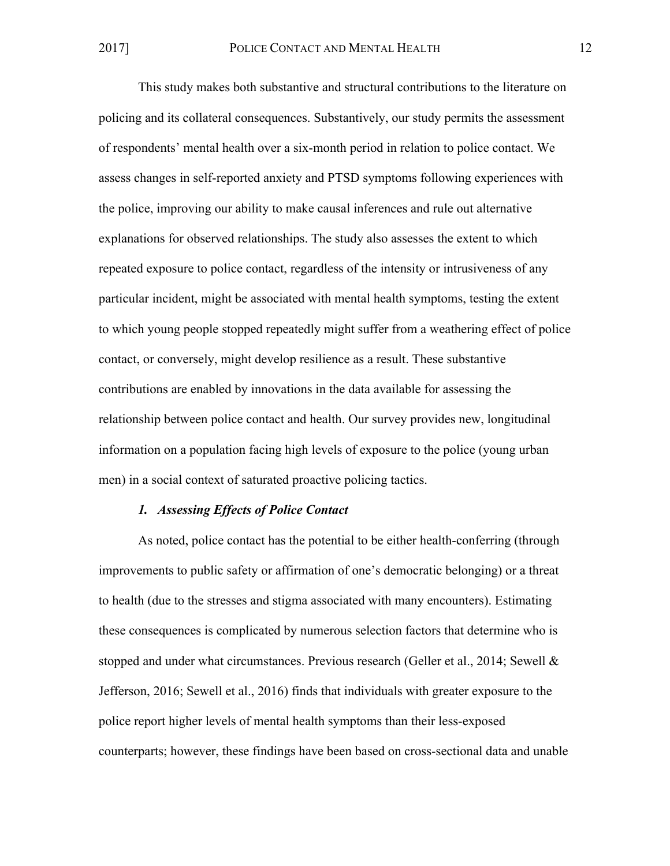This study makes both substantive and structural contributions to the literature on policing and its collateral consequences. Substantively, our study permits the assessment of respondents' mental health over a six-month period in relation to police contact. We assess changes in self-reported anxiety and PTSD symptoms following experiences with the police, improving our ability to make causal inferences and rule out alternative explanations for observed relationships. The study also assesses the extent to which repeated exposure to police contact, regardless of the intensity or intrusiveness of any particular incident, might be associated with mental health symptoms, testing the extent to which young people stopped repeatedly might suffer from a weathering effect of police contact, or conversely, might develop resilience as a result. These substantive contributions are enabled by innovations in the data available for assessing the relationship between police contact and health. Our survey provides new, longitudinal information on a population facing high levels of exposure to the police (young urban men) in a social context of saturated proactive policing tactics.

#### *1. Assessing Effects of Police Contact*

As noted, police contact has the potential to be either health-conferring (through improvements to public safety or affirmation of one's democratic belonging) or a threat to health (due to the stresses and stigma associated with many encounters). Estimating these consequences is complicated by numerous selection factors that determine who is stopped and under what circumstances. Previous research (Geller et al., 2014; Sewell & Jefferson, 2016; Sewell et al., 2016) finds that individuals with greater exposure to the police report higher levels of mental health symptoms than their less-exposed counterparts; however, these findings have been based on cross-sectional data and unable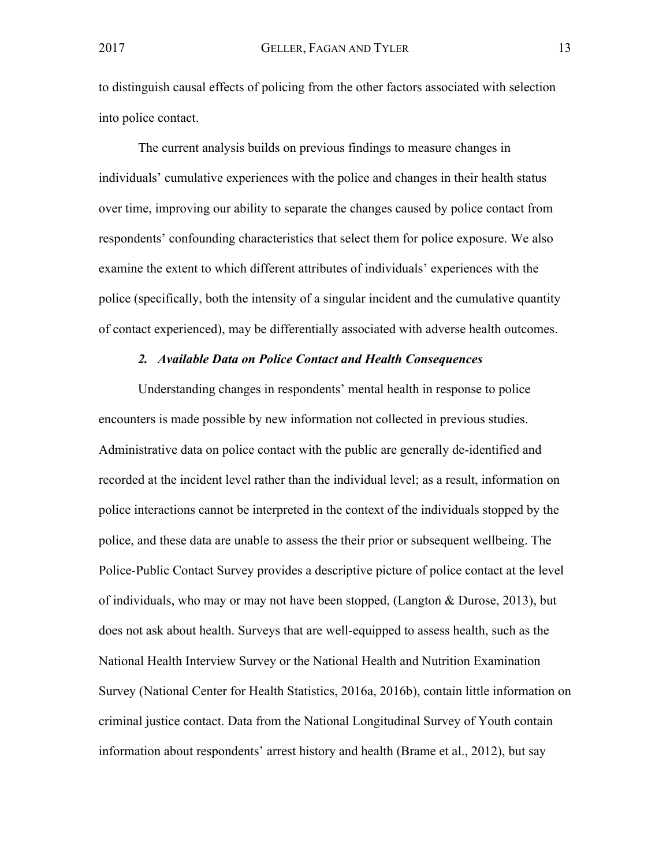to distinguish causal effects of policing from the other factors associated with selection into police contact.

The current analysis builds on previous findings to measure changes in individuals' cumulative experiences with the police and changes in their health status over time, improving our ability to separate the changes caused by police contact from respondents' confounding characteristics that select them for police exposure. We also examine the extent to which different attributes of individuals' experiences with the police (specifically, both the intensity of a singular incident and the cumulative quantity of contact experienced), may be differentially associated with adverse health outcomes.

#### *2. Available Data on Police Contact and Health Consequences*

Understanding changes in respondents' mental health in response to police encounters is made possible by new information not collected in previous studies. Administrative data on police contact with the public are generally de-identified and recorded at the incident level rather than the individual level; as a result, information on police interactions cannot be interpreted in the context of the individuals stopped by the police, and these data are unable to assess the their prior or subsequent wellbeing. The Police-Public Contact Survey provides a descriptive picture of police contact at the level of individuals, who may or may not have been stopped, (Langton & Durose, 2013), but does not ask about health. Surveys that are well-equipped to assess health, such as the National Health Interview Survey or the National Health and Nutrition Examination Survey (National Center for Health Statistics, 2016a, 2016b), contain little information on criminal justice contact. Data from the National Longitudinal Survey of Youth contain information about respondents' arrest history and health (Brame et al., 2012), but say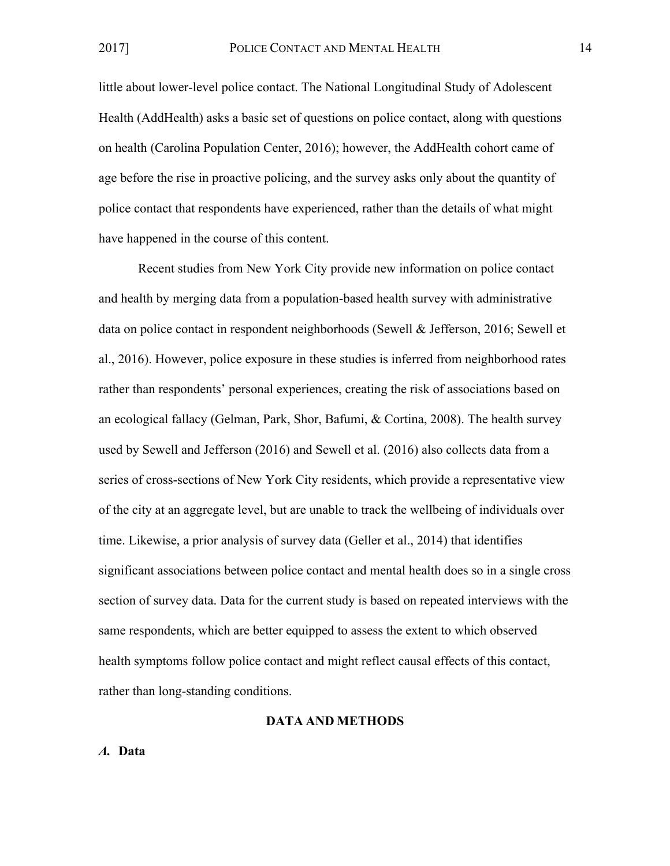little about lower-level police contact. The National Longitudinal Study of Adolescent Health (AddHealth) asks a basic set of questions on police contact, along with questions on health (Carolina Population Center, 2016); however, the AddHealth cohort came of age before the rise in proactive policing, and the survey asks only about the quantity of police contact that respondents have experienced, rather than the details of what might have happened in the course of this content.

Recent studies from New York City provide new information on police contact and health by merging data from a population-based health survey with administrative data on police contact in respondent neighborhoods (Sewell & Jefferson, 2016; Sewell et al., 2016). However, police exposure in these studies is inferred from neighborhood rates rather than respondents' personal experiences, creating the risk of associations based on an ecological fallacy (Gelman, Park, Shor, Bafumi, & Cortina, 2008). The health survey used by Sewell and Jefferson (2016) and Sewell et al. (2016) also collects data from a series of cross-sections of New York City residents, which provide a representative view of the city at an aggregate level, but are unable to track the wellbeing of individuals over time. Likewise, a prior analysis of survey data (Geller et al., 2014) that identifies significant associations between police contact and mental health does so in a single cross section of survey data. Data for the current study is based on repeated interviews with the same respondents, which are better equipped to assess the extent to which observed health symptoms follow police contact and might reflect causal effects of this contact, rather than long-standing conditions.

## **DATA AND METHODS**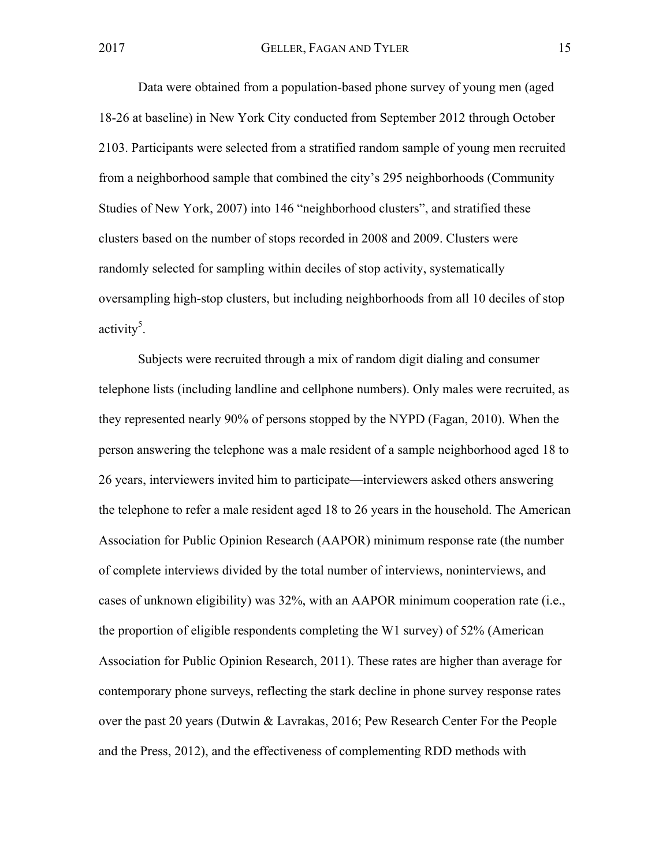Data were obtained from a population-based phone survey of young men (aged 18-26 at baseline) in New York City conducted from September 2012 through October 2103. Participants were selected from a stratified random sample of young men recruited from a neighborhood sample that combined the city's 295 neighborhoods (Community Studies of New York, 2007) into 146 "neighborhood clusters", and stratified these clusters based on the number of stops recorded in 2008 and 2009. Clusters were randomly selected for sampling within deciles of stop activity, systematically oversampling high-stop clusters, but including neighborhoods from all 10 deciles of stop activity<sup>5</sup>.

Subjects were recruited through a mix of random digit dialing and consumer telephone lists (including landline and cellphone numbers). Only males were recruited, as they represented nearly 90% of persons stopped by the NYPD (Fagan, 2010). When the person answering the telephone was a male resident of a sample neighborhood aged 18 to 26 years, interviewers invited him to participate—interviewers asked others answering the telephone to refer a male resident aged 18 to 26 years in the household. The American Association for Public Opinion Research (AAPOR) minimum response rate (the number of complete interviews divided by the total number of interviews, noninterviews, and cases of unknown eligibility) was 32%, with an AAPOR minimum cooperation rate (i.e., the proportion of eligible respondents completing the W1 survey) of 52% (American Association for Public Opinion Research, 2011). These rates are higher than average for contemporary phone surveys, reflecting the stark decline in phone survey response rates over the past 20 years (Dutwin & Lavrakas, 2016; Pew Research Center For the People and the Press, 2012), and the effectiveness of complementing RDD methods with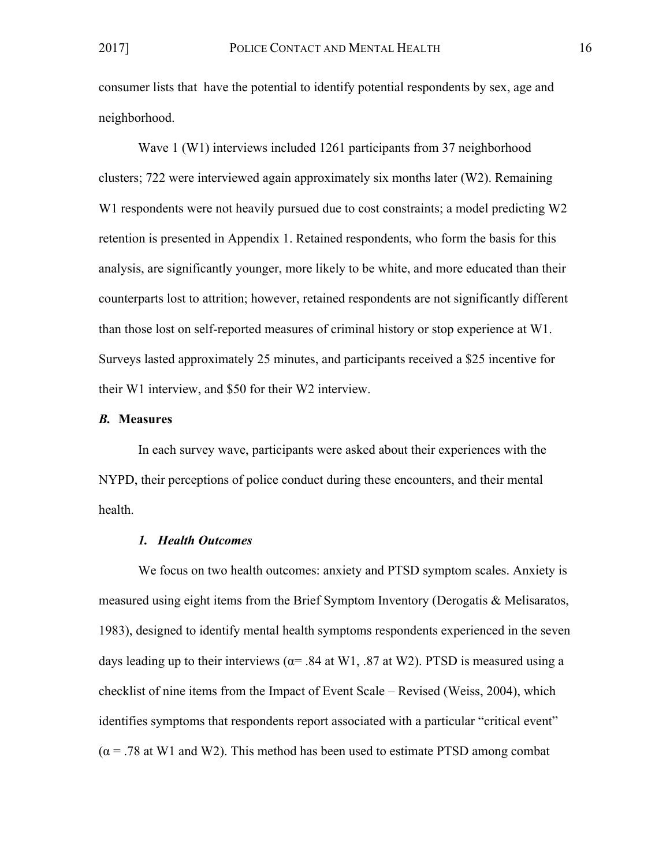consumer lists that have the potential to identify potential respondents by sex, age and neighborhood.

Wave 1 (W1) interviews included 1261 participants from 37 neighborhood clusters; 722 were interviewed again approximately six months later (W2). Remaining W1 respondents were not heavily pursued due to cost constraints; a model predicting W2 retention is presented in Appendix 1. Retained respondents, who form the basis for this analysis, are significantly younger, more likely to be white, and more educated than their counterparts lost to attrition; however, retained respondents are not significantly different than those lost on self-reported measures of criminal history or stop experience at W1. Surveys lasted approximately 25 minutes, and participants received a \$25 incentive for their W1 interview, and \$50 for their W2 interview.

#### *B.* **Measures**

In each survey wave, participants were asked about their experiences with the NYPD, their perceptions of police conduct during these encounters, and their mental health.

#### *1. Health Outcomes*

We focus on two health outcomes: anxiety and PTSD symptom scales. Anxiety is measured using eight items from the Brief Symptom Inventory (Derogatis & Melisaratos, 1983), designed to identify mental health symptoms respondents experienced in the seven days leading up to their interviews ( $\alpha$ = .84 at W1, .87 at W2). PTSD is measured using a checklist of nine items from the Impact of Event Scale – Revised (Weiss, 2004), which identifies symptoms that respondents report associated with a particular "critical event"  $(\alpha = .78$  at W1 and W2). This method has been used to estimate PTSD among combat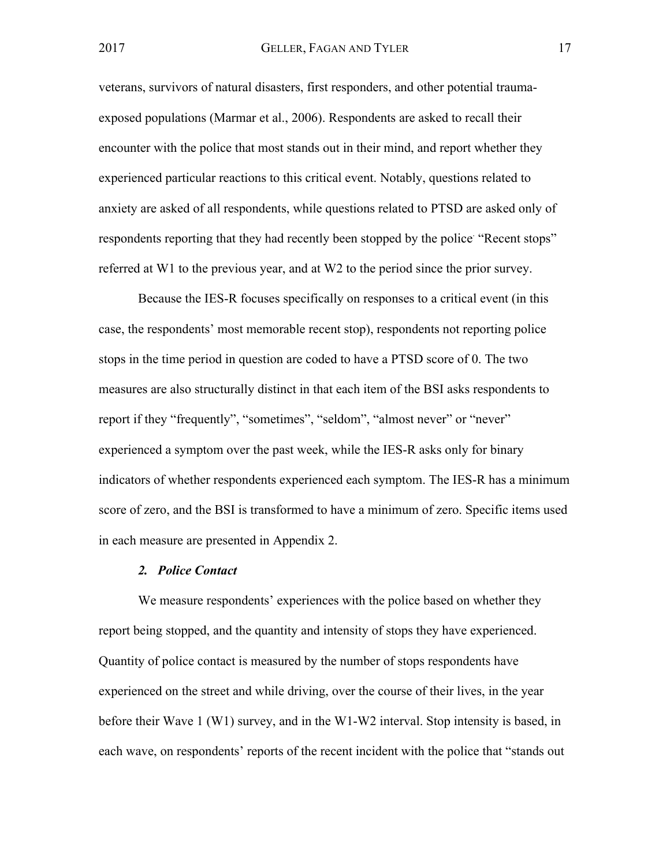veterans, survivors of natural disasters, first responders, and other potential traumaexposed populations (Marmar et al., 2006). Respondents are asked to recall their encounter with the police that most stands out in their mind, and report whether they experienced particular reactions to this critical event. Notably, questions related to anxiety are asked of all respondents, while questions related to PTSD are asked only of respondents reporting that they had recently been stopped by the police "Recent stops" referred at W1 to the previous year, and at W2 to the period since the prior survey.

Because the IES-R focuses specifically on responses to a critical event (in this case, the respondents' most memorable recent stop), respondents not reporting police stops in the time period in question are coded to have a PTSD score of 0. The two measures are also structurally distinct in that each item of the BSI asks respondents to report if they "frequently", "sometimes", "seldom", "almost never" or "never" experienced a symptom over the past week, while the IES-R asks only for binary indicators of whether respondents experienced each symptom. The IES-R has a minimum score of zero, and the BSI is transformed to have a minimum of zero. Specific items used in each measure are presented in Appendix 2.

#### *2. Police Contact*

We measure respondents' experiences with the police based on whether they report being stopped, and the quantity and intensity of stops they have experienced. Quantity of police contact is measured by the number of stops respondents have experienced on the street and while driving, over the course of their lives, in the year before their Wave 1 (W1) survey, and in the W1-W2 interval. Stop intensity is based, in each wave, on respondents' reports of the recent incident with the police that "stands out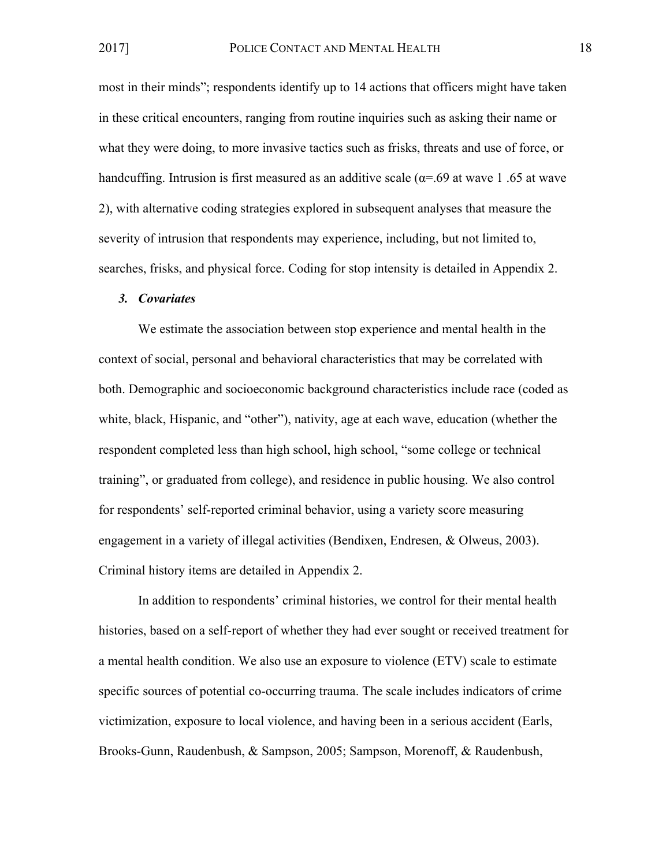most in their minds"; respondents identify up to 14 actions that officers might have taken in these critical encounters, ranging from routine inquiries such as asking their name or what they were doing, to more invasive tactics such as frisks, threats and use of force, or handcuffing. Intrusion is first measured as an additive scale ( $\alpha$ =.69 at wave 1.65 at wave 2), with alternative coding strategies explored in subsequent analyses that measure the severity of intrusion that respondents may experience, including, but not limited to, searches, frisks, and physical force. Coding for stop intensity is detailed in Appendix 2.

#### *3. Covariates*

We estimate the association between stop experience and mental health in the context of social, personal and behavioral characteristics that may be correlated with both. Demographic and socioeconomic background characteristics include race (coded as white, black, Hispanic, and "other"), nativity, age at each wave, education (whether the respondent completed less than high school, high school, "some college or technical training", or graduated from college), and residence in public housing. We also control for respondents' self-reported criminal behavior, using a variety score measuring engagement in a variety of illegal activities (Bendixen, Endresen, & Olweus, 2003). Criminal history items are detailed in Appendix 2.

In addition to respondents' criminal histories, we control for their mental health histories, based on a self-report of whether they had ever sought or received treatment for a mental health condition. We also use an exposure to violence (ETV) scale to estimate specific sources of potential co-occurring trauma. The scale includes indicators of crime victimization, exposure to local violence, and having been in a serious accident (Earls, Brooks-Gunn, Raudenbush, & Sampson, 2005; Sampson, Morenoff, & Raudenbush,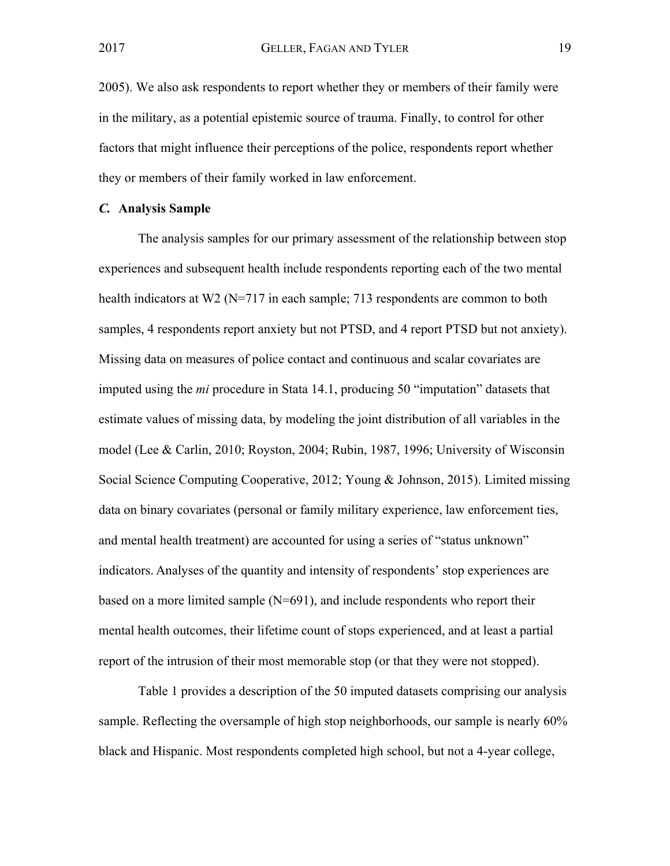2005). We also ask respondents to report whether they or members of their family were in the military, as a potential epistemic source of trauma. Finally, to control for other factors that might influence their perceptions of the police, respondents report whether they or members of their family worked in law enforcement.

#### *C.* **Analysis Sample**

The analysis samples for our primary assessment of the relationship between stop experiences and subsequent health include respondents reporting each of the two mental health indicators at W2 (N=717 in each sample; 713 respondents are common to both samples, 4 respondents report anxiety but not PTSD, and 4 report PTSD but not anxiety). Missing data on measures of police contact and continuous and scalar covariates are imputed using the *mi* procedure in Stata 14.1, producing 50 "imputation" datasets that estimate values of missing data, by modeling the joint distribution of all variables in the model (Lee & Carlin, 2010; Royston, 2004; Rubin, 1987, 1996; University of Wisconsin Social Science Computing Cooperative, 2012; Young & Johnson, 2015). Limited missing data on binary covariates (personal or family military experience, law enforcement ties, and mental health treatment) are accounted for using a series of "status unknown" indicators. Analyses of the quantity and intensity of respondents' stop experiences are based on a more limited sample (N=691), and include respondents who report their mental health outcomes, their lifetime count of stops experienced, and at least a partial report of the intrusion of their most memorable stop (or that they were not stopped).

Table 1 provides a description of the 50 imputed datasets comprising our analysis sample. Reflecting the oversample of high stop neighborhoods, our sample is nearly 60% black and Hispanic. Most respondents completed high school, but not a 4-year college,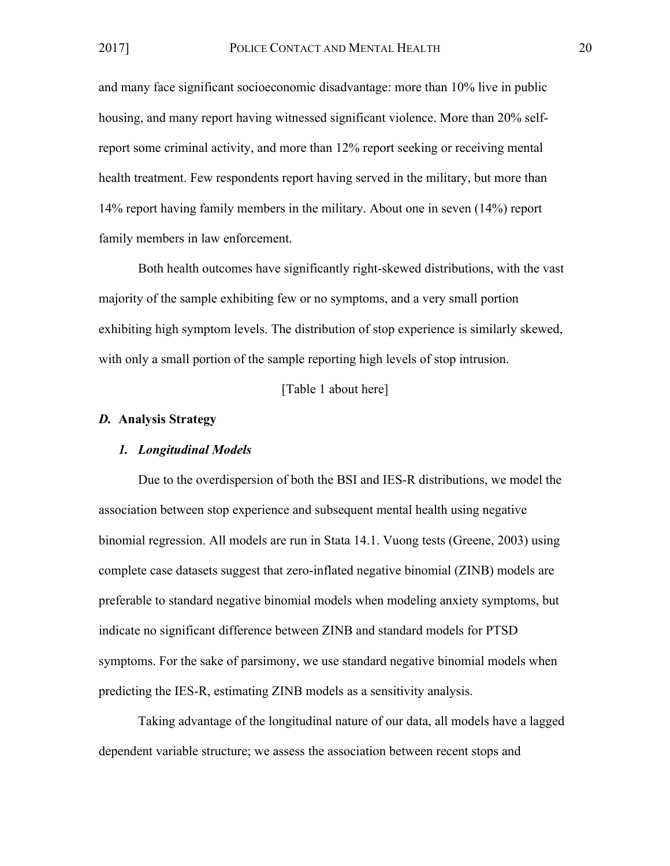and many face significant socioeconomic disadvantage: more than 10% live in public housing, and many report having witnessed significant violence. More than 20% selfreport some criminal activity, and more than 12% report seeking or receiving mental health treatment. Few respondents report having served in the military, but more than 14% report having family members in the military. About one in seven (14%) report family members in law enforcement.

Both health outcomes have significantly right-skewed distributions, with the vast majority of the sample exhibiting few or no symptoms, and a very small portion exhibiting high symptom levels. The distribution of stop experience is similarly skewed, with only a small portion of the sample reporting high levels of stop intrusion.

[Table 1 about here]

#### *D.* **Analysis Strategy**

#### *1. Longitudinal Models*

Due to the overdispersion of both the BSI and IES-R distributions, we model the association between stop experience and subsequent mental health using negative binomial regression. All models are run in Stata 14.1. Vuong tests (Greene, 2003) using complete case datasets suggest that zero-inflated negative binomial (ZINB) models are preferable to standard negative binomial models when modeling anxiety symptoms, but indicate no significant difference between ZINB and standard models for PTSD symptoms. For the sake of parsimony, we use standard negative binomial models when predicting the IES-R, estimating ZINB models as a sensitivity analysis.

Taking advantage of the longitudinal nature of our data, all models have a lagged dependent variable structure; we assess the association between recent stops and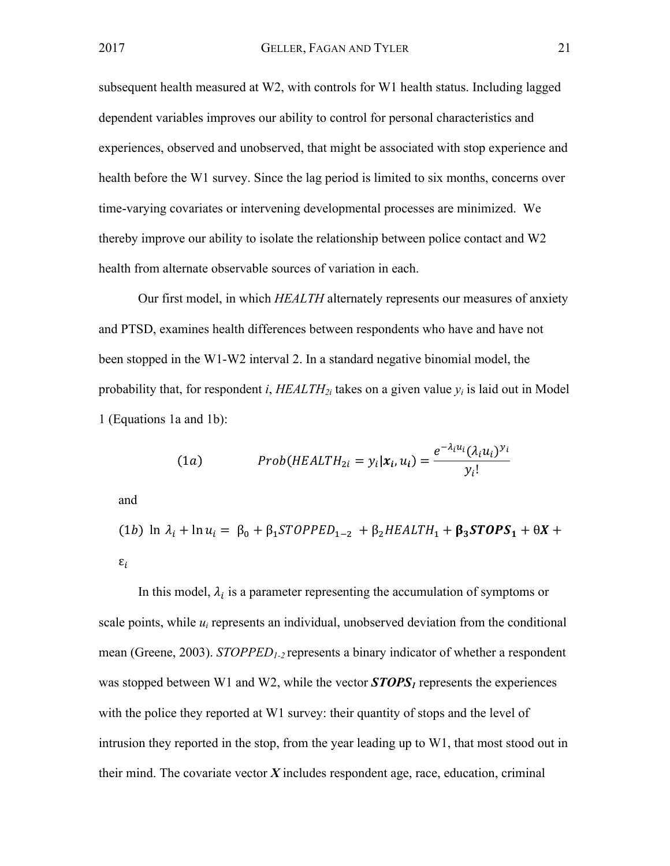subsequent health measured at W2, with controls for W1 health status. Including lagged dependent variables improves our ability to control for personal characteristics and experiences, observed and unobserved, that might be associated with stop experience and health before the W1 survey. Since the lag period is limited to six months, concerns over time-varying covariates or intervening developmental processes are minimized. We thereby improve our ability to isolate the relationship between police contact and W2 health from alternate observable sources of variation in each.

Our first model, in which *HEALTH* alternately represents our measures of anxiety and PTSD, examines health differences between respondents who have and have not been stopped in the W1-W2 interval 2. In a standard negative binomial model, the probability that, for respondent *i*,  $HEALTH_{2i}$  takes on a given value  $y_i$  is laid out in Model 1 (Equations 1a and 1b):

(1a) 
$$
Prob(HEALTH_{2i} = y_i | \mathbf{x}_i, u_i) = \frac{e^{-\lambda_i u_i} (\lambda_i u_i)^{y_i}}{y_i!}
$$

and

(1*b*) ln 
$$
\lambda_i
$$
 + ln  $u_i$  =  $\beta_0$  +  $\beta_1$ STOPPED<sub>1-2</sub> +  $\beta_2$ HEALTH<sub>1</sub> +  $\beta_3$ STOPS<sub>1</sub> +  $\theta$ X +  $\varepsilon_i$ 

In this model,  $\lambda_i$  is a parameter representing the accumulation of symptoms or scale points, while  $u_i$  represents an individual, unobserved deviation from the conditional mean (Greene, 2003). *STOPPED1-2* represents a binary indicator of whether a respondent was stopped between W1 and W2, while the vector *STOPS<sub>I</sub>* represents the experiences with the police they reported at W1 survey: their quantity of stops and the level of intrusion they reported in the stop, from the year leading up to W1, that most stood out in their mind. The covariate vector  $\boldsymbol{X}$  includes respondent age, race, education, criminal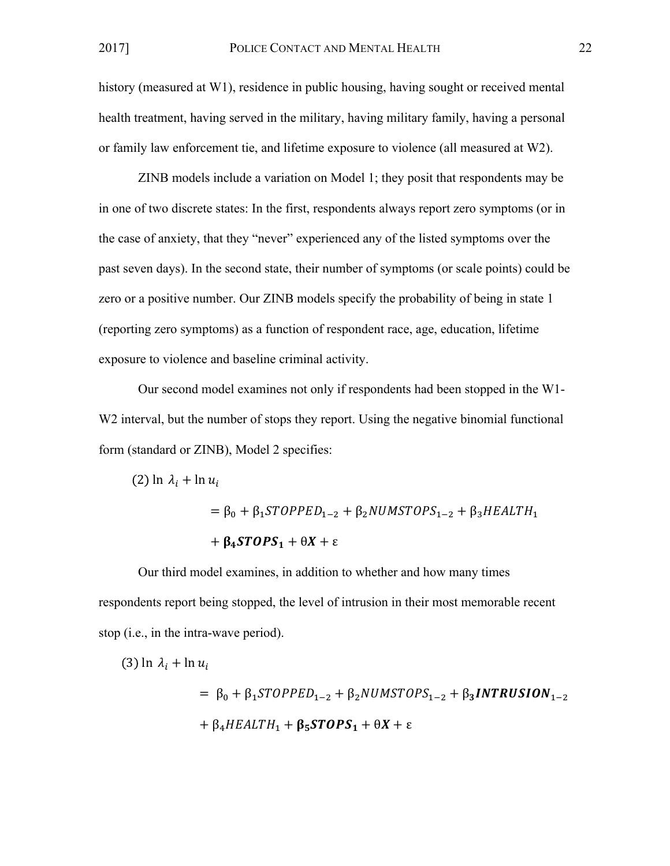$(2)$  ln  $\lambda_i$  + ln  $u_i$ 

history (measured at W1), residence in public housing, having sought or received mental health treatment, having served in the military, having military family, having a personal or family law enforcement tie, and lifetime exposure to violence (all measured at W2).

ZINB models include a variation on Model 1; they posit that respondents may be in one of two discrete states: In the first, respondents always report zero symptoms (or in the case of anxiety, that they "never" experienced any of the listed symptoms over the past seven days). In the second state, their number of symptoms (or scale points) could be zero or a positive number. Our ZINB models specify the probability of being in state 1 (reporting zero symptoms) as a function of respondent race, age, education, lifetime exposure to violence and baseline criminal activity.

Our second model examines not only if respondents had been stopped in the W1- W<sub>2</sub> interval, but the number of stops they report. Using the negative binomial functional form (standard or ZINB), Model 2 specifies:

> $= \beta_0 + \beta_1$ STOPPED<sub>1-2</sub> +  $\beta_2$ NUMSTOPS<sub>1-2</sub> +  $\beta_3$ HEALTH<sub>1</sub>  $+ \beta_4 STOPS_1 + \theta X + \epsilon$

Our third model examines, in addition to whether and how many times respondents report being stopped, the level of intrusion in their most memorable recent stop (i.e., in the intra-wave period).

(3) 
$$
\ln \lambda_i + \ln u_i
$$
  
=  $\beta_0 + \beta_1 \text{STOPED}_{1-2} + \beta_2 \text{ NUMSTOPS}_{1-2} + \beta_3 \text{INTRUSION}_{1-2}$   
+  $\beta_4 \text{HEALTH}_1 + \beta_5 \text{STOPS}_1 + \theta X + \varepsilon$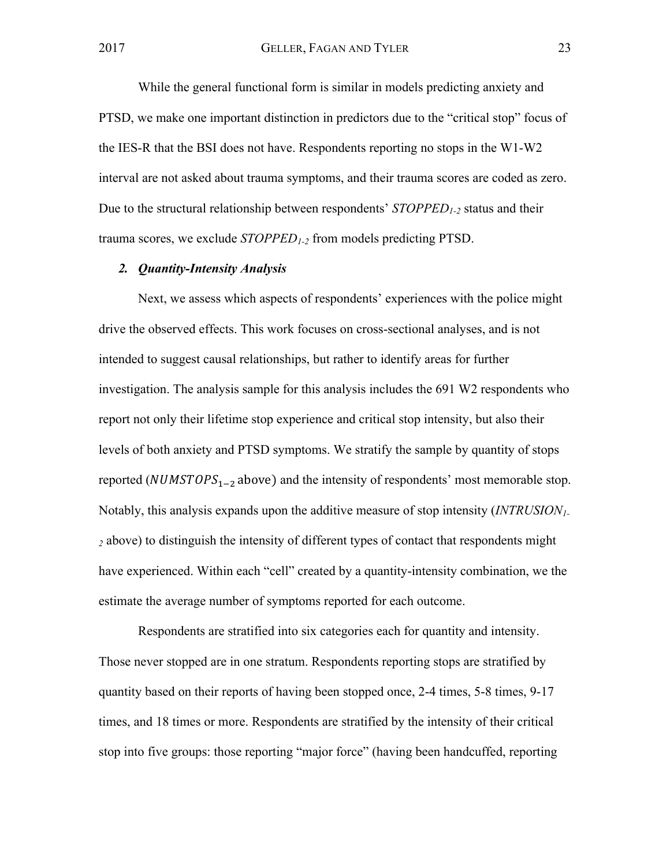While the general functional form is similar in models predicting anxiety and PTSD, we make one important distinction in predictors due to the "critical stop" focus of the IES-R that the BSI does not have. Respondents reporting no stops in the W1-W2 interval are not asked about trauma symptoms, and their trauma scores are coded as zero. Due to the structural relationship between respondents' *STOPPED*<sub>1-2</sub> status and their trauma scores, we exclude *STOPPED1-2* from models predicting PTSD.

#### *2. Quantity-Intensity Analysis*

Next, we assess which aspects of respondents' experiences with the police might drive the observed effects. This work focuses on cross-sectional analyses, and is not intended to suggest causal relationships, but rather to identify areas for further investigation. The analysis sample for this analysis includes the 691 W2 respondents who report not only their lifetime stop experience and critical stop intensity, but also their levels of both anxiety and PTSD symptoms. We stratify the sample by quantity of stops reported (NUMSTOPS<sub>1-2</sub> above) and the intensity of respondents' most memorable stop. Notably, this analysis expands upon the additive measure of stop intensity (*INTRUSION1- <sup>2</sup>* above) to distinguish the intensity of different types of contact that respondents might have experienced. Within each "cell" created by a quantity-intensity combination, we the estimate the average number of symptoms reported for each outcome.

Respondents are stratified into six categories each for quantity and intensity. Those never stopped are in one stratum. Respondents reporting stops are stratified by quantity based on their reports of having been stopped once, 2-4 times, 5-8 times, 9-17 times, and 18 times or more. Respondents are stratified by the intensity of their critical stop into five groups: those reporting "major force" (having been handcuffed, reporting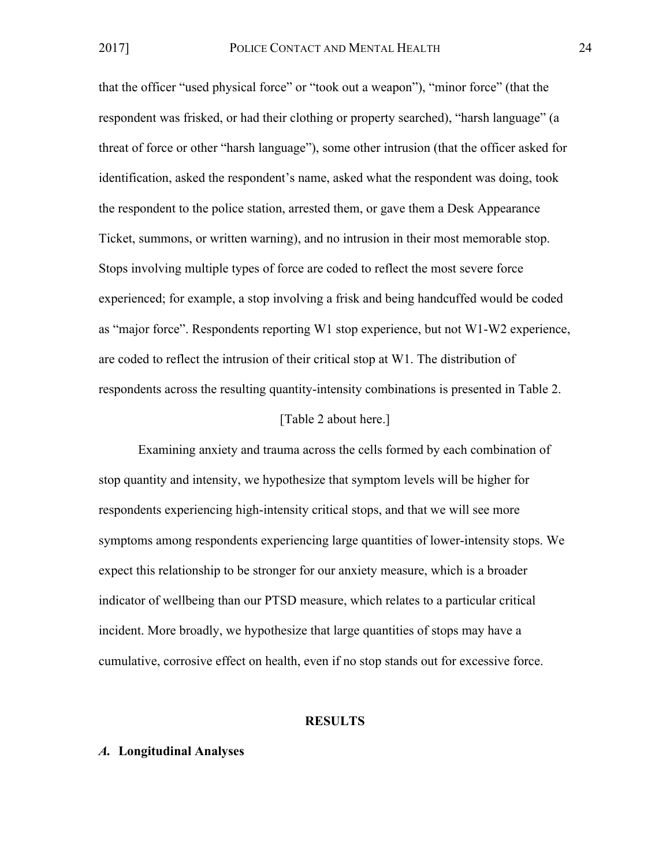that the officer "used physical force" or "took out a weapon"), "minor force" (that the respondent was frisked, or had their clothing or property searched), "harsh language" (a threat of force or other "harsh language"), some other intrusion (that the officer asked for identification, asked the respondent's name, asked what the respondent was doing, took the respondent to the police station, arrested them, or gave them a Desk Appearance Ticket, summons, or written warning), and no intrusion in their most memorable stop. Stops involving multiple types of force are coded to reflect the most severe force experienced; for example, a stop involving a frisk and being handcuffed would be coded as "major force". Respondents reporting W1 stop experience, but not W1-W2 experience, are coded to reflect the intrusion of their critical stop at W1. The distribution of respondents across the resulting quantity-intensity combinations is presented in Table 2.

#### [Table 2 about here.]

Examining anxiety and trauma across the cells formed by each combination of stop quantity and intensity, we hypothesize that symptom levels will be higher for respondents experiencing high-intensity critical stops, and that we will see more symptoms among respondents experiencing large quantities of lower-intensity stops. We expect this relationship to be stronger for our anxiety measure, which is a broader indicator of wellbeing than our PTSD measure, which relates to a particular critical incident. More broadly, we hypothesize that large quantities of stops may have a cumulative, corrosive effect on health, even if no stop stands out for excessive force.

## **RESULTS**

## *A.* **Longitudinal Analyses**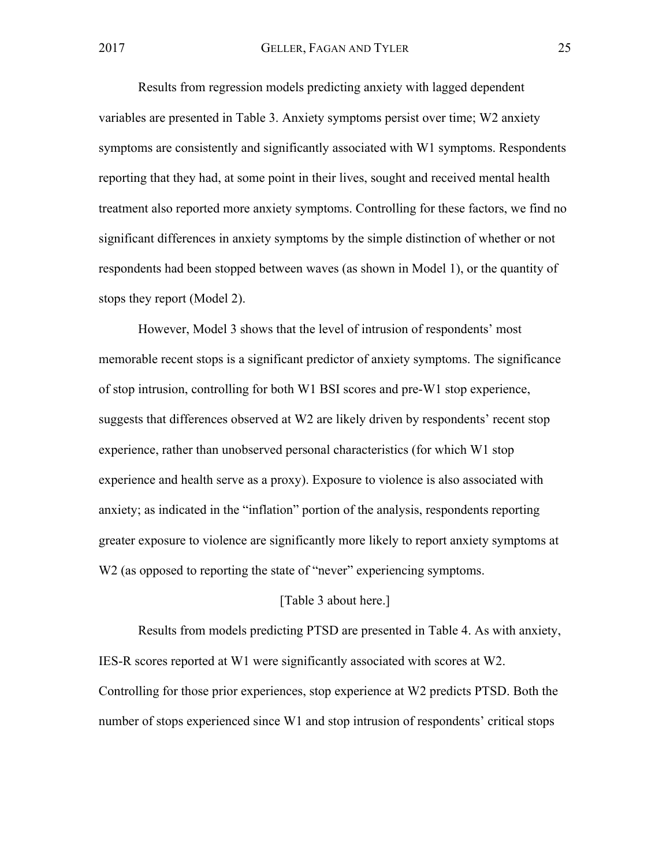Results from regression models predicting anxiety with lagged dependent variables are presented in Table 3. Anxiety symptoms persist over time; W2 anxiety symptoms are consistently and significantly associated with W1 symptoms. Respondents reporting that they had, at some point in their lives, sought and received mental health treatment also reported more anxiety symptoms. Controlling for these factors, we find no significant differences in anxiety symptoms by the simple distinction of whether or not respondents had been stopped between waves (as shown in Model 1), or the quantity of stops they report (Model 2).

However, Model 3 shows that the level of intrusion of respondents' most memorable recent stops is a significant predictor of anxiety symptoms. The significance of stop intrusion, controlling for both W1 BSI scores and pre-W1 stop experience, suggests that differences observed at W2 are likely driven by respondents' recent stop experience, rather than unobserved personal characteristics (for which W1 stop experience and health serve as a proxy). Exposure to violence is also associated with anxiety; as indicated in the "inflation" portion of the analysis, respondents reporting greater exposure to violence are significantly more likely to report anxiety symptoms at W<sub>2</sub> (as opposed to reporting the state of "never" experiencing symptoms.

## [Table 3 about here.]

Results from models predicting PTSD are presented in Table 4. As with anxiety, IES-R scores reported at W1 were significantly associated with scores at W2. Controlling for those prior experiences, stop experience at W2 predicts PTSD. Both the number of stops experienced since W1 and stop intrusion of respondents' critical stops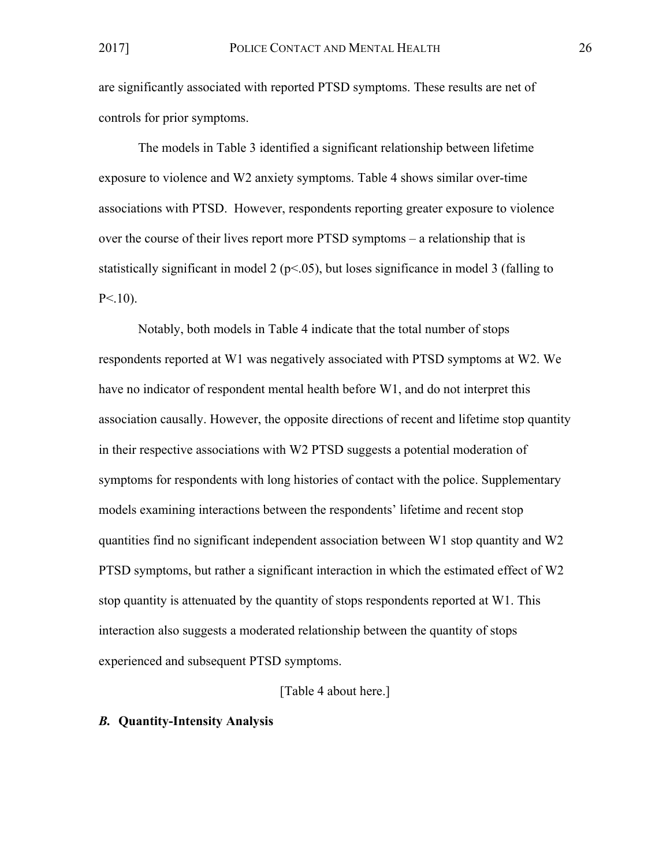are significantly associated with reported PTSD symptoms. These results are net of controls for prior symptoms.

The models in Table 3 identified a significant relationship between lifetime exposure to violence and W2 anxiety symptoms. Table 4 shows similar over-time associations with PTSD. However, respondents reporting greater exposure to violence over the course of their lives report more PTSD symptoms – a relationship that is statistically significant in model 2 ( $p<0.05$ ), but loses significance in model 3 (falling to  $P<.10$ ).

Notably, both models in Table 4 indicate that the total number of stops respondents reported at W1 was negatively associated with PTSD symptoms at W2. We have no indicator of respondent mental health before W1, and do not interpret this association causally. However, the opposite directions of recent and lifetime stop quantity in their respective associations with W2 PTSD suggests a potential moderation of symptoms for respondents with long histories of contact with the police. Supplementary models examining interactions between the respondents' lifetime and recent stop quantities find no significant independent association between W1 stop quantity and W2 PTSD symptoms, but rather a significant interaction in which the estimated effect of W2 stop quantity is attenuated by the quantity of stops respondents reported at W1. This interaction also suggests a moderated relationship between the quantity of stops experienced and subsequent PTSD symptoms.

## [Table 4 about here.]

## *B.* **Quantity-Intensity Analysis**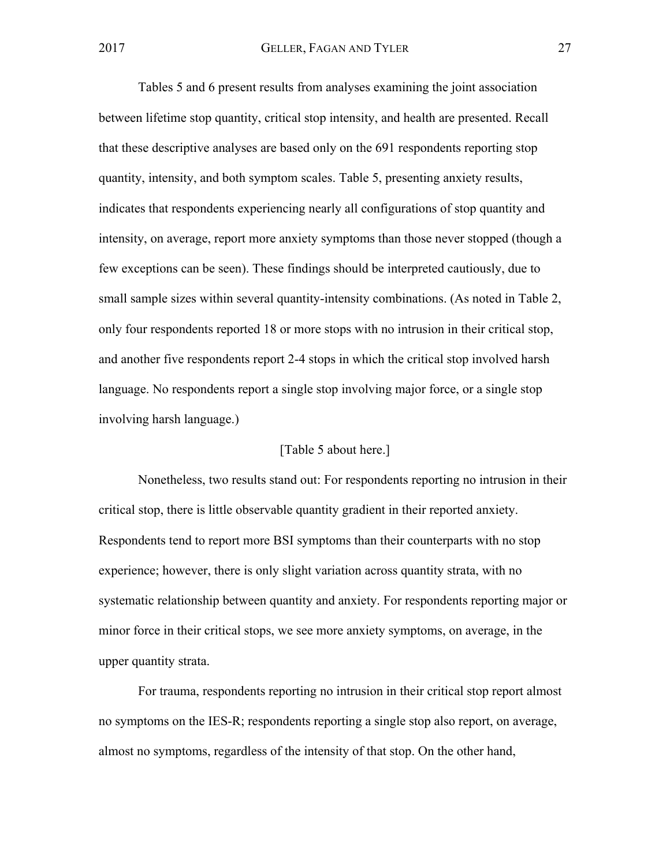Tables 5 and 6 present results from analyses examining the joint association between lifetime stop quantity, critical stop intensity, and health are presented. Recall that these descriptive analyses are based only on the 691 respondents reporting stop quantity, intensity, and both symptom scales. Table 5, presenting anxiety results, indicates that respondents experiencing nearly all configurations of stop quantity and intensity, on average, report more anxiety symptoms than those never stopped (though a few exceptions can be seen). These findings should be interpreted cautiously, due to small sample sizes within several quantity-intensity combinations. (As noted in Table 2, only four respondents reported 18 or more stops with no intrusion in their critical stop, and another five respondents report 2-4 stops in which the critical stop involved harsh language. No respondents report a single stop involving major force, or a single stop involving harsh language.)

## [Table 5 about here.]

Nonetheless, two results stand out: For respondents reporting no intrusion in their critical stop, there is little observable quantity gradient in their reported anxiety. Respondents tend to report more BSI symptoms than their counterparts with no stop experience; however, there is only slight variation across quantity strata, with no systematic relationship between quantity and anxiety. For respondents reporting major or minor force in their critical stops, we see more anxiety symptoms, on average, in the upper quantity strata.

For trauma, respondents reporting no intrusion in their critical stop report almost no symptoms on the IES-R; respondents reporting a single stop also report, on average, almost no symptoms, regardless of the intensity of that stop. On the other hand,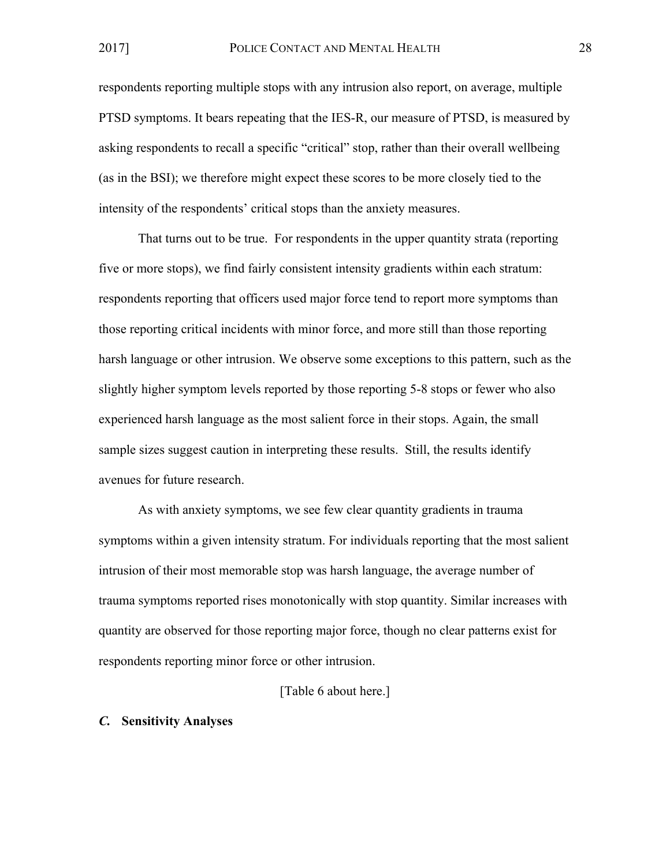respondents reporting multiple stops with any intrusion also report, on average, multiple PTSD symptoms. It bears repeating that the IES-R, our measure of PTSD, is measured by asking respondents to recall a specific "critical" stop, rather than their overall wellbeing (as in the BSI); we therefore might expect these scores to be more closely tied to the intensity of the respondents' critical stops than the anxiety measures.

That turns out to be true. For respondents in the upper quantity strata (reporting five or more stops), we find fairly consistent intensity gradients within each stratum: respondents reporting that officers used major force tend to report more symptoms than those reporting critical incidents with minor force, and more still than those reporting harsh language or other intrusion. We observe some exceptions to this pattern, such as the slightly higher symptom levels reported by those reporting 5-8 stops or fewer who also experienced harsh language as the most salient force in their stops. Again, the small sample sizes suggest caution in interpreting these results. Still, the results identify avenues for future research.

As with anxiety symptoms, we see few clear quantity gradients in trauma symptoms within a given intensity stratum. For individuals reporting that the most salient intrusion of their most memorable stop was harsh language, the average number of trauma symptoms reported rises monotonically with stop quantity. Similar increases with quantity are observed for those reporting major force, though no clear patterns exist for respondents reporting minor force or other intrusion.

## [Table 6 about here.]

#### *C.* **Sensitivity Analyses**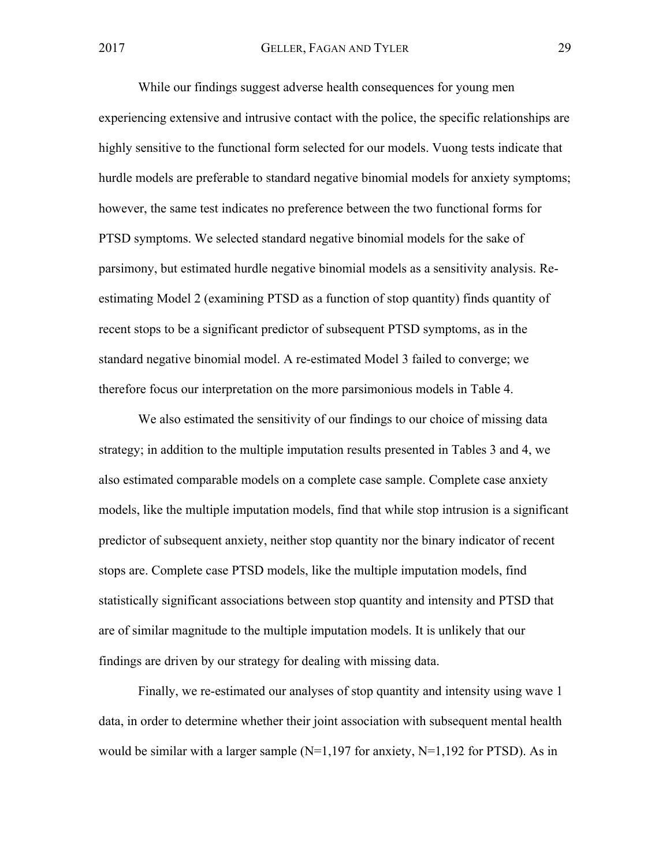While our findings suggest adverse health consequences for young men experiencing extensive and intrusive contact with the police, the specific relationships are highly sensitive to the functional form selected for our models. Vuong tests indicate that hurdle models are preferable to standard negative binomial models for anxiety symptoms; however, the same test indicates no preference between the two functional forms for PTSD symptoms. We selected standard negative binomial models for the sake of parsimony, but estimated hurdle negative binomial models as a sensitivity analysis. Reestimating Model 2 (examining PTSD as a function of stop quantity) finds quantity of recent stops to be a significant predictor of subsequent PTSD symptoms, as in the standard negative binomial model. A re-estimated Model 3 failed to converge; we therefore focus our interpretation on the more parsimonious models in Table 4.

We also estimated the sensitivity of our findings to our choice of missing data strategy; in addition to the multiple imputation results presented in Tables 3 and 4, we also estimated comparable models on a complete case sample. Complete case anxiety models, like the multiple imputation models, find that while stop intrusion is a significant predictor of subsequent anxiety, neither stop quantity nor the binary indicator of recent stops are. Complete case PTSD models, like the multiple imputation models, find statistically significant associations between stop quantity and intensity and PTSD that are of similar magnitude to the multiple imputation models. It is unlikely that our findings are driven by our strategy for dealing with missing data.

Finally, we re-estimated our analyses of stop quantity and intensity using wave 1 data, in order to determine whether their joint association with subsequent mental health would be similar with a larger sample  $(N=1,197$  for anxiety,  $N=1,192$  for PTSD). As in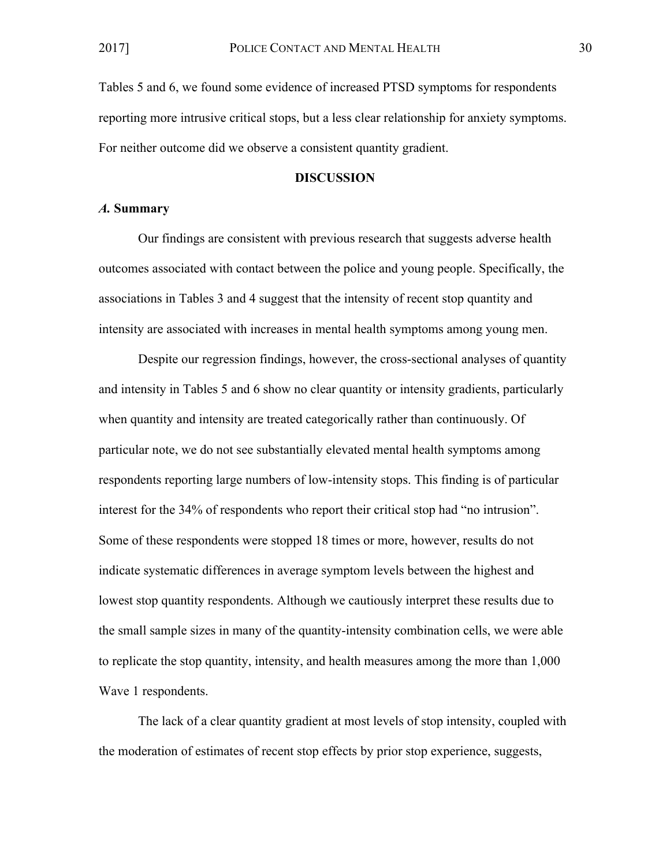Tables 5 and 6, we found some evidence of increased PTSD symptoms for respondents reporting more intrusive critical stops, but a less clear relationship for anxiety symptoms. For neither outcome did we observe a consistent quantity gradient.

#### **DISCUSSION**

#### *A.* **Summary**

Our findings are consistent with previous research that suggests adverse health outcomes associated with contact between the police and young people. Specifically, the associations in Tables 3 and 4 suggest that the intensity of recent stop quantity and intensity are associated with increases in mental health symptoms among young men.

Despite our regression findings, however, the cross-sectional analyses of quantity and intensity in Tables 5 and 6 show no clear quantity or intensity gradients, particularly when quantity and intensity are treated categorically rather than continuously. Of particular note, we do not see substantially elevated mental health symptoms among respondents reporting large numbers of low-intensity stops. This finding is of particular interest for the 34% of respondents who report their critical stop had "no intrusion". Some of these respondents were stopped 18 times or more, however, results do not indicate systematic differences in average symptom levels between the highest and lowest stop quantity respondents. Although we cautiously interpret these results due to the small sample sizes in many of the quantity-intensity combination cells, we were able to replicate the stop quantity, intensity, and health measures among the more than 1,000 Wave 1 respondents.

The lack of a clear quantity gradient at most levels of stop intensity, coupled with the moderation of estimates of recent stop effects by prior stop experience, suggests,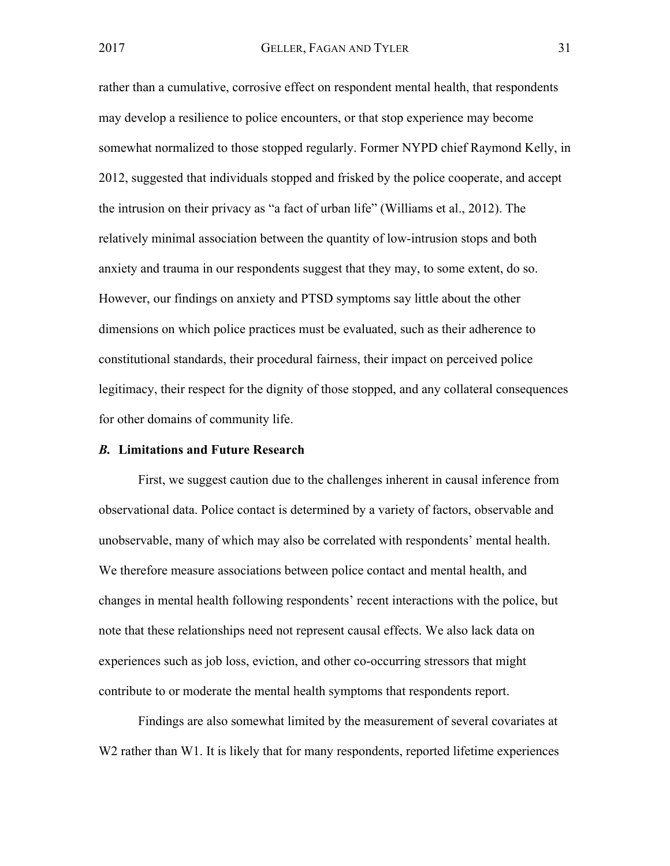rather than a cumulative, corrosive effect on respondent mental health, that respondents may develop a resilience to police encounters, or that stop experience may become somewhat normalized to those stopped regularly. Former NYPD chief Raymond Kelly, in 2012, suggested that individuals stopped and frisked by the police cooperate, and accept the intrusion on their privacy as "a fact of urban life" (Williams et al., 2012). The relatively minimal association between the quantity of low-intrusion stops and both anxiety and trauma in our respondents suggest that they may, to some extent, do so. However, our findings on anxiety and PTSD symptoms say little about the other dimensions on which police practices must be evaluated, such as their adherence to constitutional standards, their procedural fairness, their impact on perceived police legitimacy, their respect for the dignity of those stopped, and any collateral consequences for other domains of community life.

#### *B.* **Limitations and Future Research**

First, we suggest caution due to the challenges inherent in causal inference from observational data. Police contact is determined by a variety of factors, observable and unobservable, many of which may also be correlated with respondents' mental health. We therefore measure associations between police contact and mental health, and changes in mental health following respondents' recent interactions with the police, but note that these relationships need not represent causal effects. We also lack data on experiences such as job loss, eviction, and other co-occurring stressors that might contribute to or moderate the mental health symptoms that respondents report.

Findings are also somewhat limited by the measurement of several covariates at W2 rather than W1. It is likely that for many respondents, reported lifetime experiences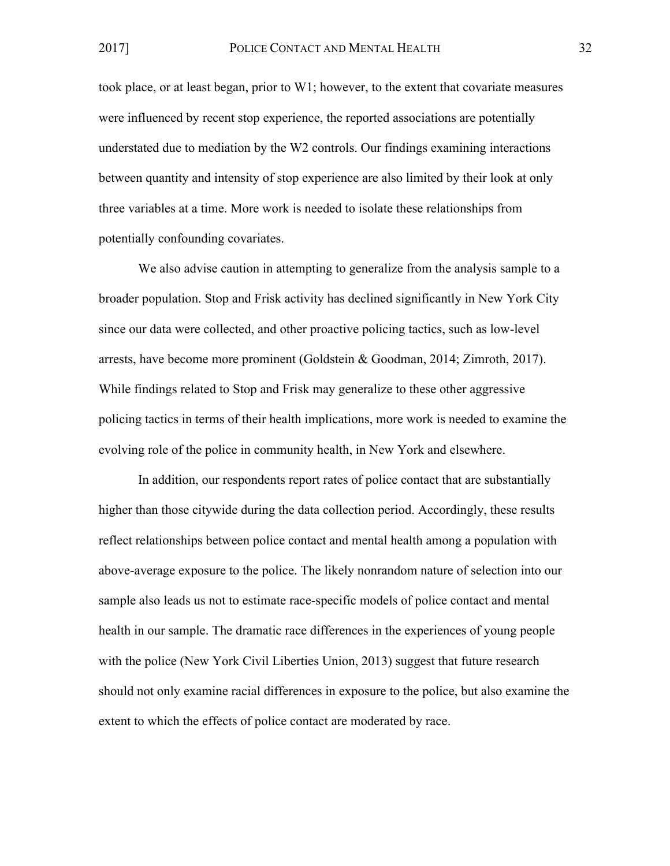took place, or at least began, prior to W1; however, to the extent that covariate measures were influenced by recent stop experience, the reported associations are potentially understated due to mediation by the W2 controls. Our findings examining interactions between quantity and intensity of stop experience are also limited by their look at only three variables at a time. More work is needed to isolate these relationships from potentially confounding covariates.

We also advise caution in attempting to generalize from the analysis sample to a broader population. Stop and Frisk activity has declined significantly in New York City since our data were collected, and other proactive policing tactics, such as low-level arrests, have become more prominent (Goldstein & Goodman, 2014; Zimroth, 2017). While findings related to Stop and Frisk may generalize to these other aggressive policing tactics in terms of their health implications, more work is needed to examine the evolving role of the police in community health, in New York and elsewhere.

In addition, our respondents report rates of police contact that are substantially higher than those citywide during the data collection period. Accordingly, these results reflect relationships between police contact and mental health among a population with above-average exposure to the police. The likely nonrandom nature of selection into our sample also leads us not to estimate race-specific models of police contact and mental health in our sample. The dramatic race differences in the experiences of young people with the police (New York Civil Liberties Union, 2013) suggest that future research should not only examine racial differences in exposure to the police, but also examine the extent to which the effects of police contact are moderated by race.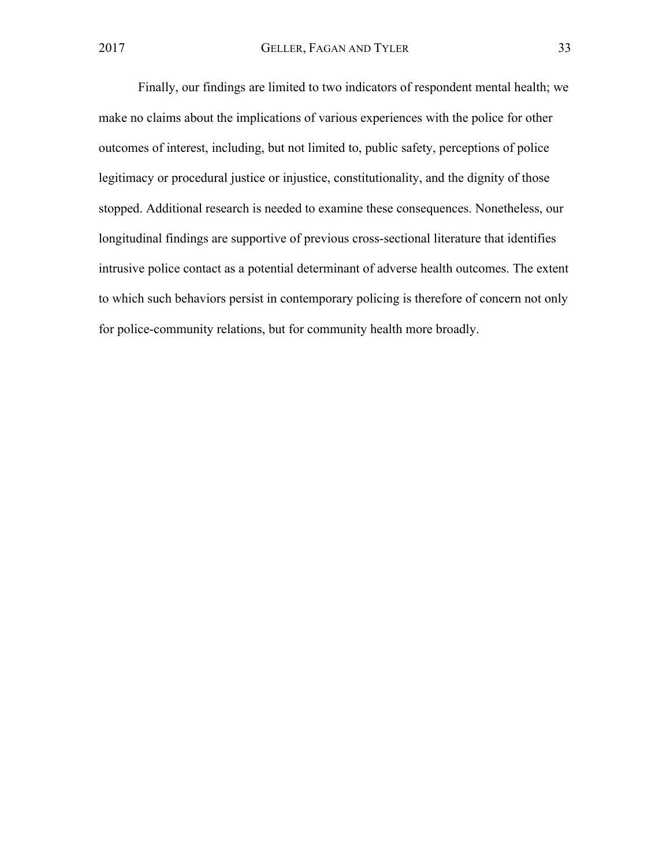Finally, our findings are limited to two indicators of respondent mental health; we make no claims about the implications of various experiences with the police for other outcomes of interest, including, but not limited to, public safety, perceptions of police legitimacy or procedural justice or injustice, constitutionality, and the dignity of those stopped. Additional research is needed to examine these consequences. Nonetheless, our longitudinal findings are supportive of previous cross-sectional literature that identifies intrusive police contact as a potential determinant of adverse health outcomes. The extent to which such behaviors persist in contemporary policing is therefore of concern not only for police-community relations, but for community health more broadly.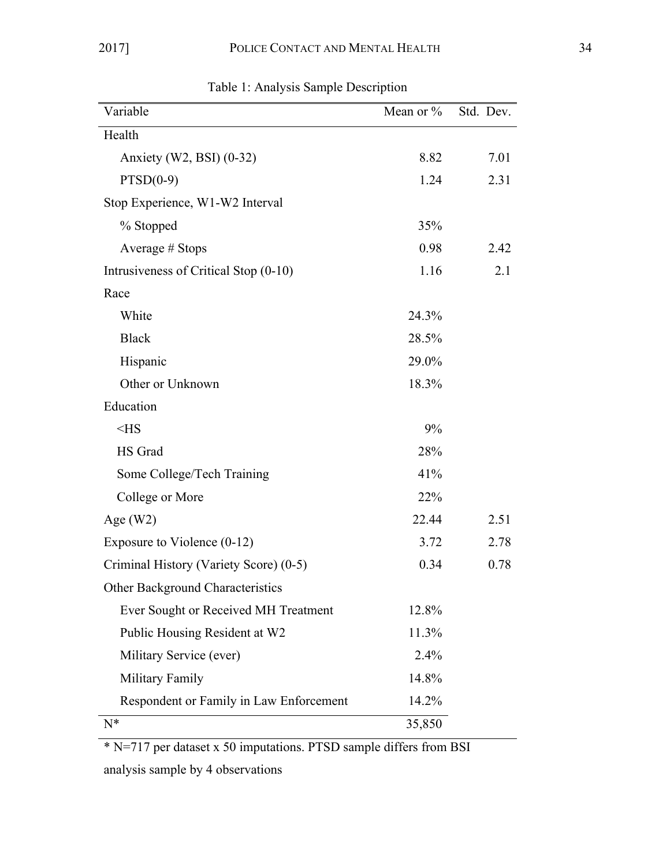| Variable                                | Mean or $\%$ | Std. Dev. |
|-----------------------------------------|--------------|-----------|
| Health                                  |              |           |
|                                         |              |           |
| Anxiety (W2, BSI) $(0-32)$              | 8.82         | 7.01      |
| $PTSD(0-9)$                             | 1.24         | 2.31      |
| Stop Experience, W1-W2 Interval         |              |           |
| % Stopped                               | 35%          |           |
| Average # Stops                         | 0.98         | 2.42      |
| Intrusiveness of Critical Stop (0-10)   | 1.16         | 2.1       |
| Race                                    |              |           |
| White                                   | 24.3%        |           |
| <b>Black</b>                            | 28.5%        |           |
| Hispanic                                | 29.0%        |           |
| Other or Unknown                        | 18.3%        |           |
| Education                               |              |           |
| $<$ HS                                  | 9%           |           |
| HS Grad                                 | 28%          |           |
| Some College/Tech Training              | 41%          |           |
| College or More                         | 22%          |           |
| Age $(W2)$                              | 22.44        | 2.51      |
| Exposure to Violence (0-12)             | 3.72         | 2.78      |
| Criminal History (Variety Score) (0-5)  | 0.34         | 0.78      |
| Other Background Characteristics        |              |           |
| Ever Sought or Received MH Treatment    | 12.8%        |           |
| Public Housing Resident at W2           | 11.3%        |           |
| Military Service (ever)                 | 2.4%         |           |
| Military Family                         | 14.8%        |           |
| Respondent or Family in Law Enforcement | 14.2%        |           |
| $N^*$                                   | 35,850       |           |

Table 1: Analysis Sample Description

\* N=717 per dataset x 50 imputations. PTSD sample differs from BSI analysis sample by 4 observations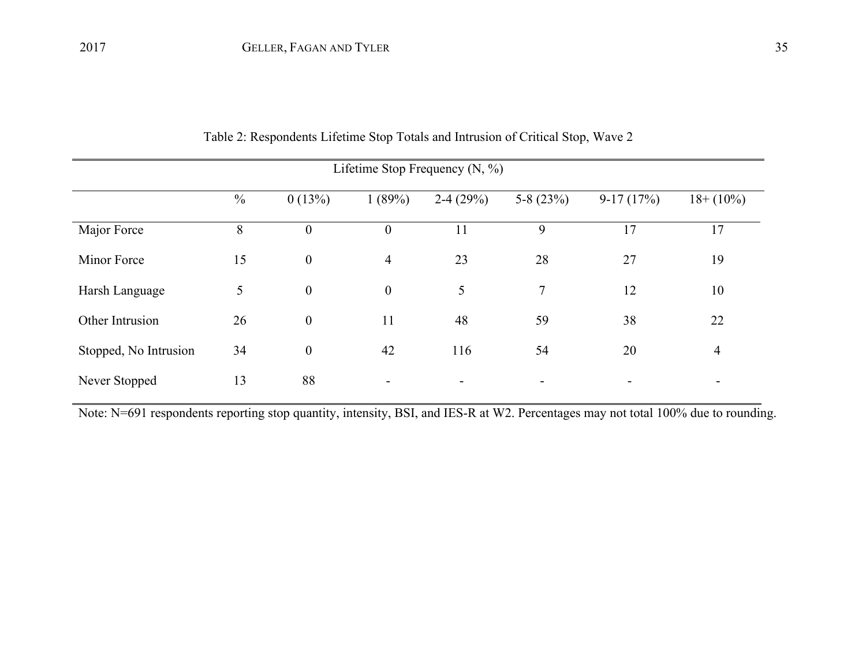| Lifetime Stop Frequency $(N, %)$ |               |                  |                  |            |                |             |                          |  |  |
|----------------------------------|---------------|------------------|------------------|------------|----------------|-------------|--------------------------|--|--|
|                                  | $\frac{0}{0}$ | 0(13%)           | 1(89%)           | $2-4(29%)$ | 5-8 $(23%)$    | $9-17(17%)$ | $18 + (10\%)$            |  |  |
| Major Force                      | 8             | $\boldsymbol{0}$ | $\boldsymbol{0}$ | 11         | 9              | 17          | 17                       |  |  |
| Minor Force                      | 15            | $\boldsymbol{0}$ | $\overline{4}$   | 23         | 28             | 27          | 19                       |  |  |
| Harsh Language                   | 5             | $\overline{0}$   | $\boldsymbol{0}$ | 5          | $\overline{7}$ | 12          | 10                       |  |  |
| Other Intrusion                  | 26            | $\boldsymbol{0}$ | 11               | 48         | 59             | 38          | 22                       |  |  |
| Stopped, No Intrusion            | 34            | $\mathbf{0}$     | 42               | 116        | 54             | 20          | $\overline{4}$           |  |  |
| Never Stopped                    | 13            | 88               |                  |            |                |             | $\overline{\phantom{0}}$ |  |  |

Table 2: Respondents Lifetime Stop Totals and Intrusion of Critical Stop, Wave 2

Note: N=691 respondents reporting stop quantity, intensity, BSI, and IES-R at W2. Percentages may not total 100% due to rounding.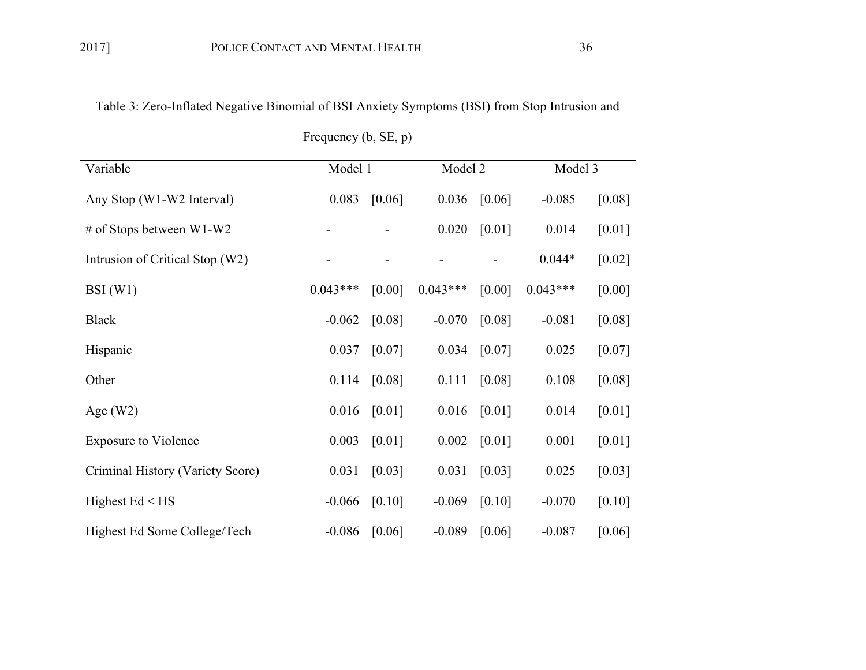Table 3: Zero-Inflated Negative Binomial of BSI Anxiety Symptoms (BSI) from Stop Intrusion and

| Variable                         | Model 1    |          | Model 2    |        | Model 3    |          |
|----------------------------------|------------|----------|------------|--------|------------|----------|
| Any Stop (W1-W2 Interval)        | 0.083      | [0.06]   | 0.036      | [0.06] | $-0.085$   | [0.08]   |
| # of Stops between $W1-W2$       |            |          | 0.020      | [0.01] | 0.014      | [0.01]   |
| Intrusion of Critical Stop (W2)  |            |          |            |        | $0.044*$   | [0.02]   |
| BSI(W1)                          | $0.043***$ | [0.00]   | $0.043***$ | [0.00] | $0.043***$ | [0.00]   |
| <b>Black</b>                     | $-0.062$   | [0.08]   | $-0.070$   | [0.08] | $-0.081$   | [0.08]   |
| Hispanic                         | 0.037      | $[0.07]$ | 0.034      | [0.07] | 0.025      | $[0.07]$ |
| Other                            | 0.114      | [0.08]   | 0.111      | [0.08] | 0.108      | [0.08]   |
| Age $(W2)$                       | 0.016      | [0.01]   | 0.016      | [0.01] | 0.014      | $[0.01]$ |
| <b>Exposure to Violence</b>      | 0.003      | [0.01]   | 0.002      | [0.01] | 0.001      | [0.01]   |
| Criminal History (Variety Score) | 0.031      | [0.03]   | 0.031      | [0.03] | 0.025      | [0.03]   |
| Highest $Ed < HS$                | $-0.066$   | [0.10]   | $-0.069$   | [0.10] | $-0.070$   | [0.10]   |
| Highest Ed Some College/Tech     | $-0.086$   | [0.06]   | $-0.089$   | [0.06] | $-0.087$   | $[0.06]$ |

Frequency (b, SE, p)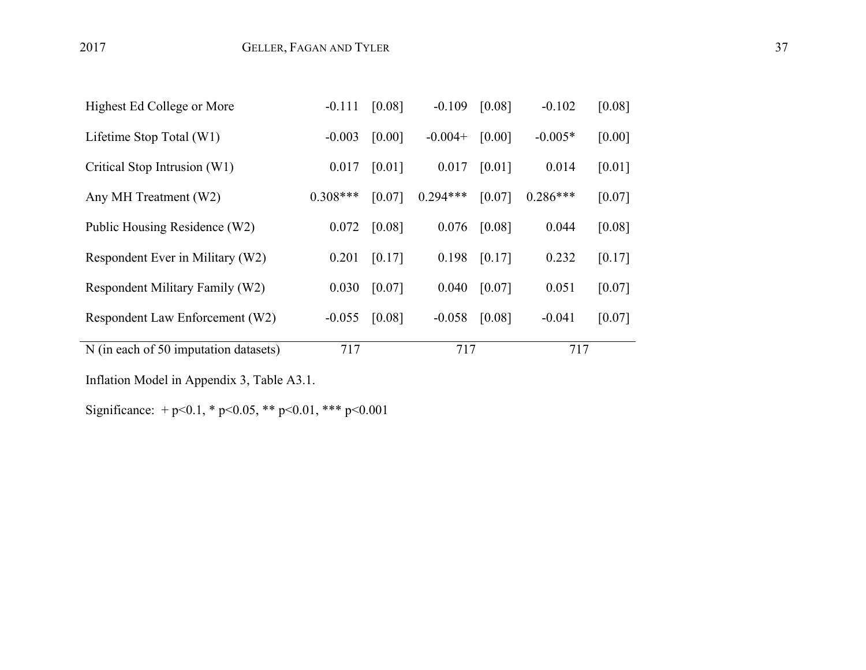| Highest Ed College or More            | $-0.111$   | [0.08] | $-0.109$   | [0.08] | $-0.102$   | [0.08] |
|---------------------------------------|------------|--------|------------|--------|------------|--------|
| Lifetime Stop Total (W1)              | $-0.003$   | [0.00] | $-0.004+$  | [0.00] | $-0.005*$  | [0.00] |
| Critical Stop Intrusion (W1)          | 0.017      | [0.01] | 0.017      | [0.01] | 0.014      | [0.01] |
| Any MH Treatment (W2)                 | $0.308***$ | [0.07] | $0.294***$ | [0.07] | $0.286***$ | [0.07] |
| Public Housing Residence (W2)         | 0.072      | [0.08] | 0.076      | [0.08] | 0.044      | [0.08] |
| Respondent Ever in Military (W2)      | 0.201      | [0.17] | 0.198      | [0.17] | 0.232      | [0.17] |
| Respondent Military Family (W2)       | 0.030      | [0.07] | 0.040      | [0.07] | 0.051      | [0.07] |
| Respondent Law Enforcement (W2)       | $-0.055$   | [0.08] | $-0.058$   | [0.08] | $-0.041$   | [0.07] |
| N (in each of 50 imputation datasets) | 717        |        | 717        |        | 717        |        |

Inflation Model in Appendix 3, Table A3.1.

Significance: + p<0.1, \* p<0.05, \*\* p<0.01, \*\*\* p<0.001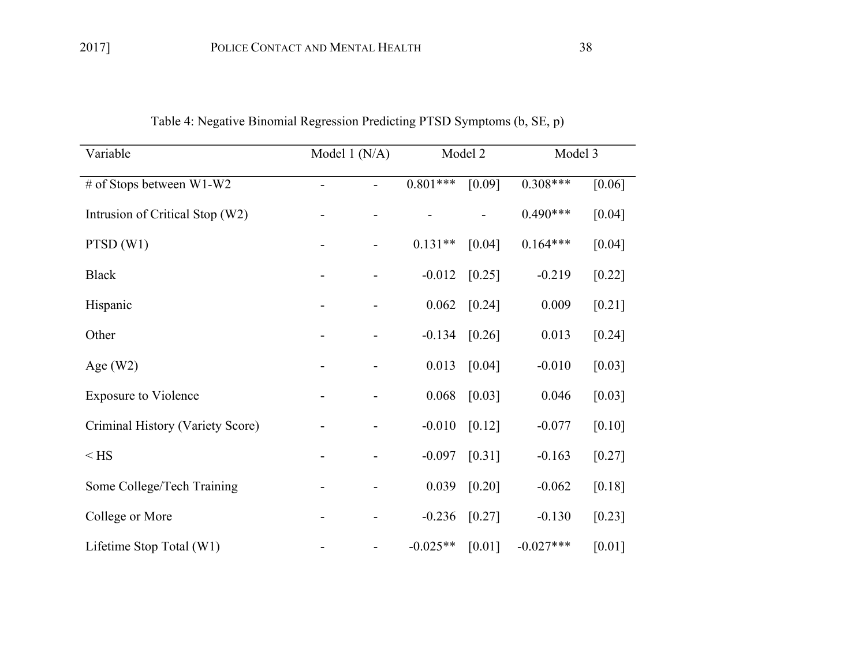| Variable                         | Model 1 (N/A) |                              | Model 2    |        | Model 3     |          |
|----------------------------------|---------------|------------------------------|------------|--------|-------------|----------|
| # of Stops between W1-W2         |               | $\overline{\phantom{0}}$     | $0.801***$ | [0.09] | $0.308***$  | [0.06]   |
| Intrusion of Critical Stop (W2)  |               |                              |            |        | $0.490***$  | [0.04]   |
| PTSD(W1)                         |               | $\qquad \qquad \blacksquare$ | $0.131**$  | [0.04] | $0.164***$  | [0.04]   |
| <b>Black</b>                     |               | $\qquad \qquad \blacksquare$ | $-0.012$   | [0.25] | $-0.219$    | $[0.22]$ |
| Hispanic                         |               |                              | 0.062      | [0.24] | 0.009       | $[0.21]$ |
| Other                            |               |                              | $-0.134$   | [0.26] | 0.013       | [0.24]   |
| Age $(W2)$                       |               | $\overline{\phantom{a}}$     | 0.013      | [0.04] | $-0.010$    | [0.03]   |
| <b>Exposure to Violence</b>      |               |                              | 0.068      | [0.03] | 0.046       | [0.03]   |
| Criminal History (Variety Score) |               |                              | $-0.010$   | [0.12] | $-0.077$    | [0.10]   |
| $<$ HS                           |               | $\overline{\phantom{0}}$     | $-0.097$   | [0.31] | $-0.163$    | [0.27]   |
| Some College/Tech Training       |               |                              | 0.039      | [0.20] | $-0.062$    | [0.18]   |
| College or More                  |               |                              | $-0.236$   | [0.27] | $-0.130$    | [0.23]   |
| Lifetime Stop Total (W1)         |               |                              | $-0.025**$ | [0.01] | $-0.027***$ | [0.01]   |

Table 4: Negative Binomial Regression Predicting PTSD Symptoms (b, SE, p)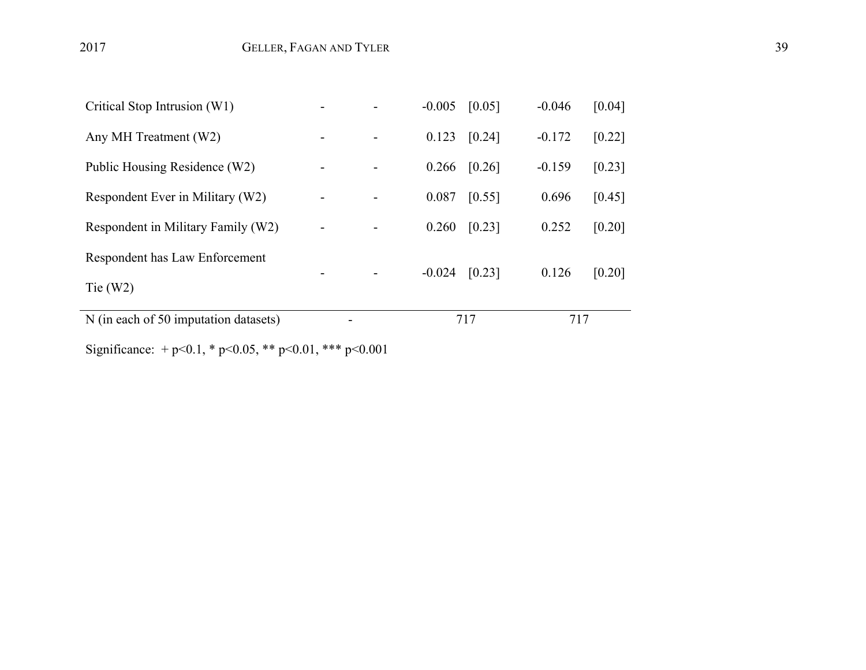| N (in each of 50 imputation datasets) |  |          | 717                 | 717      |        |
|---------------------------------------|--|----------|---------------------|----------|--------|
| Tie $(W2)$                            |  |          |                     |          |        |
| Respondent has Law Enforcement        |  | $-0.024$ | [0.23]              | 0.126    | [0.20] |
| Respondent in Military Family (W2)    |  | 0.260    | $\left[0.23\right]$ | 0.252    | [0.20] |
| Respondent Ever in Military (W2)      |  | 0.087    | [0.55]              | 0.696    | [0.45] |
| Public Housing Residence (W2)         |  | 0.266    | [0.26]              | $-0.159$ | [0.23] |
| Any MH Treatment (W2)                 |  | 0.123    | [0.24]              | $-0.172$ | [0.22] |
| Critical Stop Intrusion (W1)          |  | $-0.005$ | [0.05]              | $-0.046$ | [0.04] |

Significance: + p<0.1, \* p<0.05, \*\* p<0.01, \*\*\* p<0.001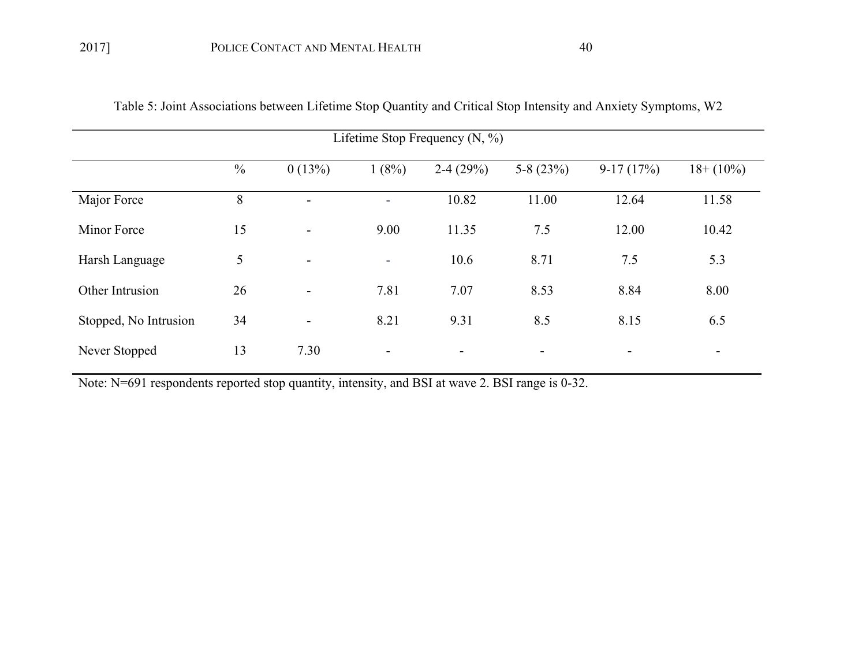| Lifetime Stop Frequency $(N, %)$ |               |                          |        |                          |             |                |               |  |  |
|----------------------------------|---------------|--------------------------|--------|--------------------------|-------------|----------------|---------------|--|--|
|                                  | $\frac{0}{0}$ | 0(13%)                   | 1(8%)  | $2-4(29%)$               | 5-8 $(23%)$ | $9-17(17%)$    | $18 + (10\%)$ |  |  |
| Major Force                      | 8             | $\blacksquare$           |        | 10.82                    | 11.00       | 12.64          | 11.58         |  |  |
| <b>Minor Force</b>               | 15            | $\overline{\phantom{a}}$ | 9.00   | 11.35                    | 7.5         | 12.00          | 10.42         |  |  |
| Harsh Language                   | 5             | $\overline{\phantom{a}}$ | $\sim$ | 10.6                     | 8.71        | 7.5            | 5.3           |  |  |
| Other Intrusion                  | 26            | $\blacksquare$           | 7.81   | 7.07                     | 8.53        | 8.84           | 8.00          |  |  |
| Stopped, No Intrusion            | 34            | $\overline{\phantom{a}}$ | 8.21   | 9.31                     | 8.5         | 8.15           | 6.5           |  |  |
| Never Stopped                    | 13            | 7.30                     | -      | $\overline{\phantom{0}}$ |             | $\blacksquare$ | -             |  |  |

Table 5: Joint Associations between Lifetime Stop Quantity and Critical Stop Intensity and Anxiety Symptoms, W2

Note: N=691 respondents reported stop quantity, intensity, and BSI at wave 2. BSI range is 0-32.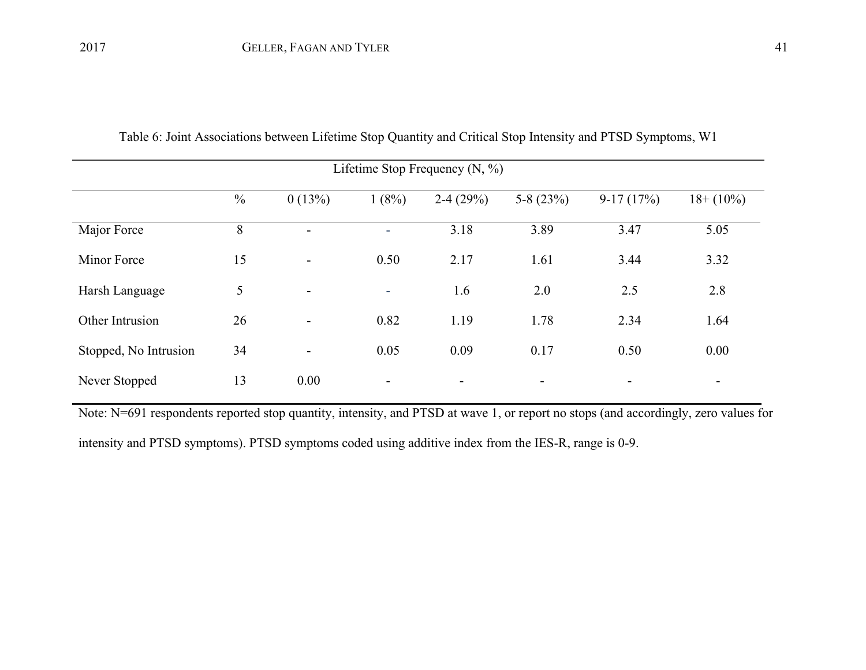| Lifetime Stop Frequency $(N, %)$ |               |                          |                          |            |                          |                          |                          |  |  |
|----------------------------------|---------------|--------------------------|--------------------------|------------|--------------------------|--------------------------|--------------------------|--|--|
|                                  | $\frac{0}{0}$ | 0(13%)                   | 1(8%)                    | $2-4(29%)$ | 5-8 $(23%)$              | $9-17(17%)$              | $18 + (10\%)$            |  |  |
| Major Force                      | 8             | $\overline{\phantom{0}}$ | ٠                        | 3.18       | 3.89                     | 3.47                     | 5.05                     |  |  |
| Minor Force                      | 15            | $\overline{\phantom{0}}$ | 0.50                     | 2.17       | 1.61                     | 3.44                     | 3.32                     |  |  |
| Harsh Language                   | 5             | $\overline{\phantom{0}}$ | ٠                        | 1.6        | 2.0                      | 2.5                      | 2.8                      |  |  |
| Other Intrusion                  | 26            | $\overline{\phantom{a}}$ | 0.82                     | 1.19       | 1.78                     | 2.34                     | 1.64                     |  |  |
| Stopped, No Intrusion            | 34            | $\overline{\phantom{a}}$ | 0.05                     | 0.09       | 0.17                     | 0.50                     | 0.00                     |  |  |
| Never Stopped                    | 13            | 0.00                     | $\overline{\phantom{a}}$ | -          | $\overline{\phantom{a}}$ | $\overline{\phantom{a}}$ | $\overline{\phantom{a}}$ |  |  |

Table 6: Joint Associations between Lifetime Stop Quantity and Critical Stop Intensity and PTSD Symptoms, W1

Note: N=691 respondents reported stop quantity, intensity, and PTSD at wave 1, or report no stops (and accordingly, zero values for intensity and PTSD symptoms). PTSD symptoms coded using additive index from the IES-R, range is 0-9.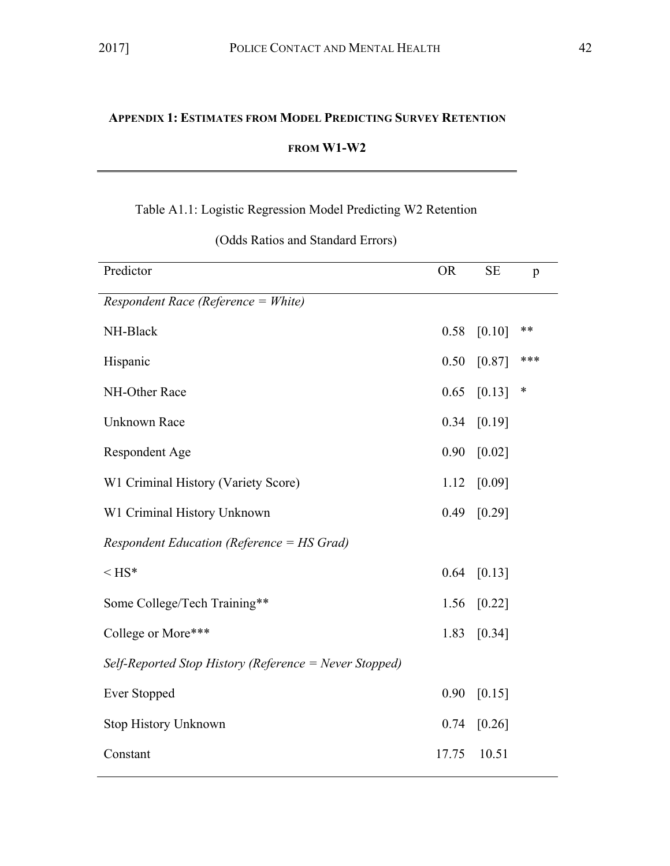## **APPENDIX 1: ESTIMATES FROM MODEL PREDICTING SURVEY RETENTION**

## **FROM W1-W2**

## Table A1.1: Logistic Regression Model Predicting W2 Retention

| Predictor                                              | <b>OR</b> | <b>SE</b> | p   |
|--------------------------------------------------------|-----------|-----------|-----|
| Respondent Race (Reference = White)                    |           |           |     |
| NH-Black                                               | 0.58      | [0.10]    | **  |
| Hispanic                                               | 0.50      | [0.87]    | *** |
| NH-Other Race                                          | 0.65      | [0.13]    | ∗   |
| <b>Unknown Race</b>                                    | 0.34      | [0.19]    |     |
| <b>Respondent Age</b>                                  | 0.90      | [0.02]    |     |
| W1 Criminal History (Variety Score)                    | 1.12      | [0.09]    |     |
| W1 Criminal History Unknown                            | 0.49      | [0.29]    |     |
| Respondent Education (Reference = HS Grad)             |           |           |     |
| $\leq$ HS*                                             | 0.64      | [0.13]    |     |
| Some College/Tech Training**                           | 1.56      | [0.22]    |     |
| College or More***                                     | 1.83      | [0.34]    |     |
| Self-Reported Stop History (Reference = Never Stopped) |           |           |     |
| <b>Ever Stopped</b>                                    | 0.90      | [0.15]    |     |
| <b>Stop History Unknown</b>                            | 0.74      | [0.26]    |     |
| Constant                                               | 17.75     | 10.51     |     |

(Odds Ratios and Standard Errors)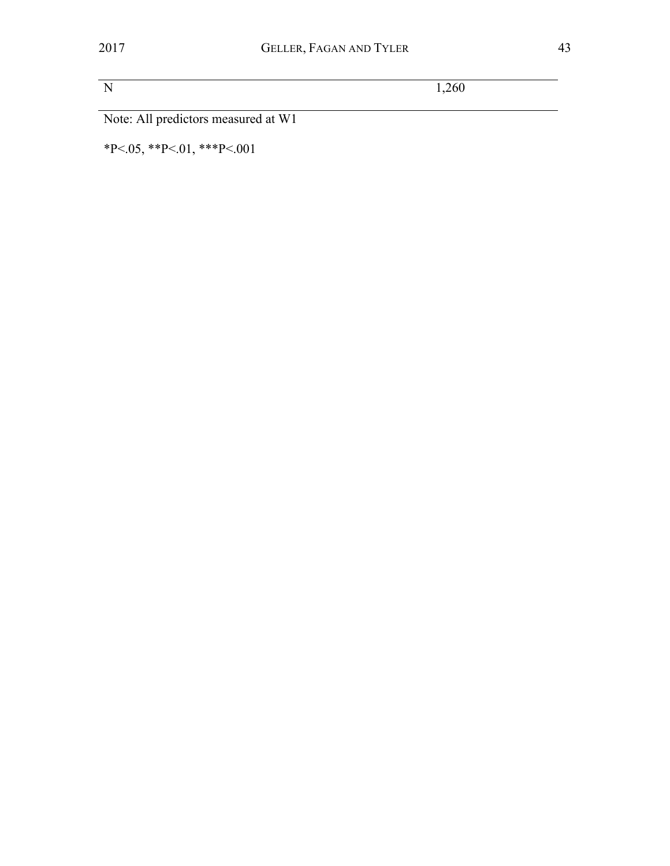N 1,260

Note: All predictors measured at W1

 $*P<.05$ ,  $*P<.01$ ,  $**P<.001$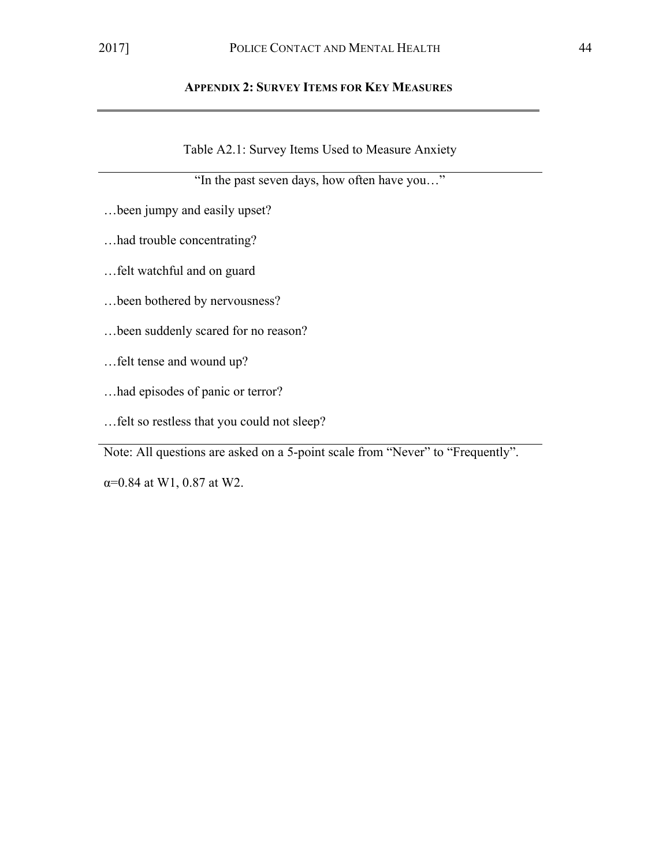Table A2.1: Survey Items Used to Measure Anxiety

"In the past seven days, how often have you…"

- …been jumpy and easily upset?
- …had trouble concentrating?
- …felt watchful and on guard
- …been bothered by nervousness?
- …been suddenly scared for no reason?
- …felt tense and wound up?
- …had episodes of panic or terror?
- …felt so restless that you could not sleep?

Note: All questions are asked on a 5-point scale from "Never" to "Frequently".

α=0.84 at W1, 0.87 at W2.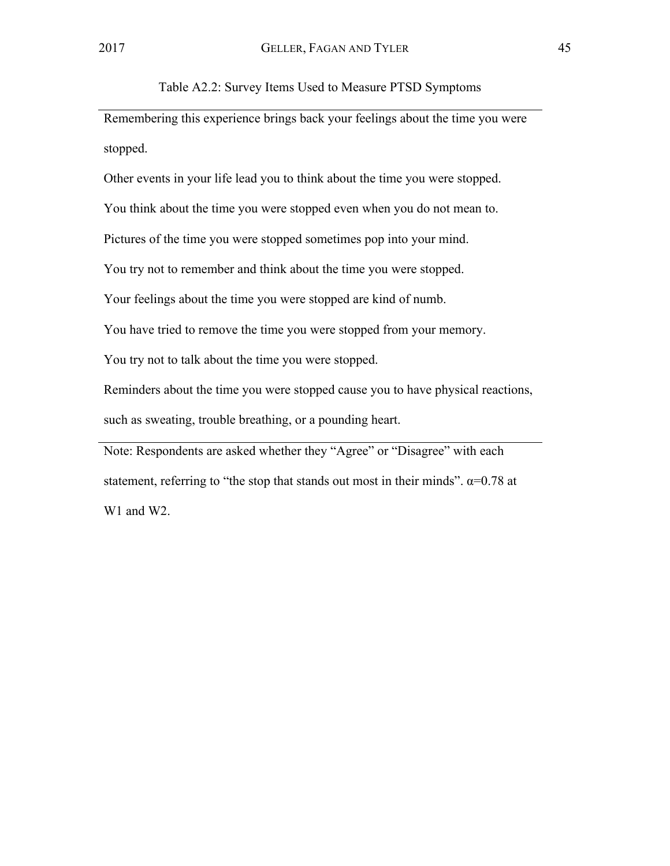Table A2.2: Survey Items Used to Measure PTSD Symptoms

Remembering this experience brings back your feelings about the time you were stopped.

Other events in your life lead you to think about the time you were stopped.

You think about the time you were stopped even when you do not mean to.

Pictures of the time you were stopped sometimes pop into your mind.

You try not to remember and think about the time you were stopped.

Your feelings about the time you were stopped are kind of numb.

You have tried to remove the time you were stopped from your memory.

You try not to talk about the time you were stopped.

Reminders about the time you were stopped cause you to have physical reactions,

such as sweating, trouble breathing, or a pounding heart.

Note: Respondents are asked whether they "Agree" or "Disagree" with each statement, referring to "the stop that stands out most in their minds".  $\alpha$ =0.78 at W<sub>1</sub> and W<sub>2</sub>.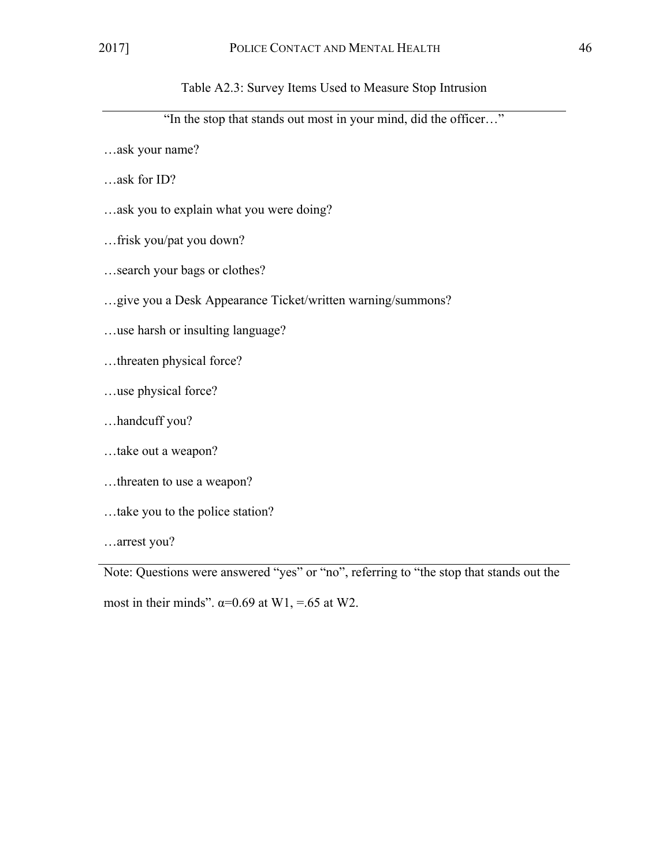Table A2.3: Survey Items Used to Measure Stop Intrusion

"In the stop that stands out most in your mind, did the officer…"

…ask your name?

…ask for ID?

…ask you to explain what you were doing?

…frisk you/pat you down?

…search your bags or clothes?

…give you a Desk Appearance Ticket/written warning/summons?

…use harsh or insulting language?

…threaten physical force?

…use physical force?

…handcuff you?

…take out a weapon?

…threaten to use a weapon?

…take you to the police station?

…arrest you?

Note: Questions were answered "yes" or "no", referring to "the stop that stands out the most in their minds".  $\alpha=0.69$  at W1, =.65 at W2.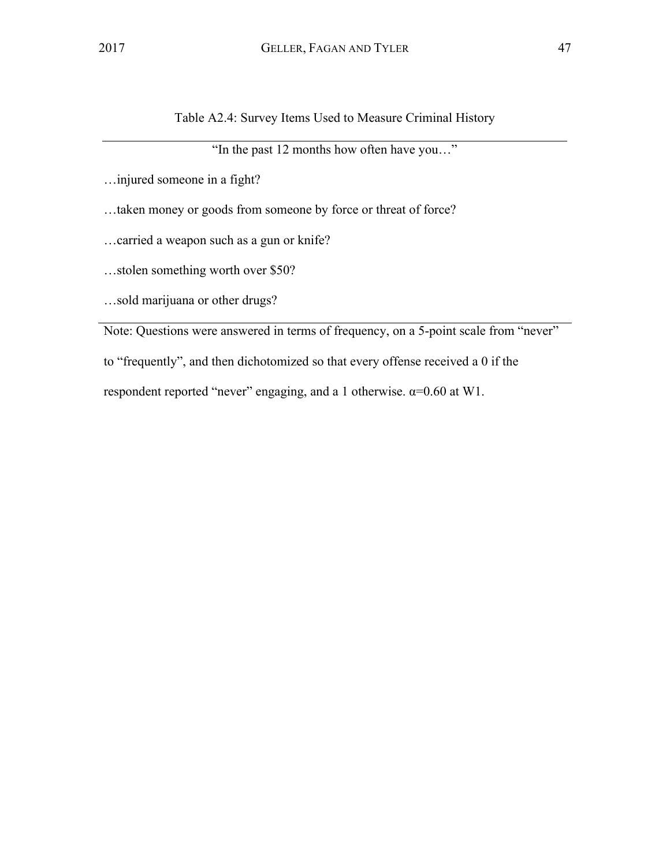Table A2.4: Survey Items Used to Measure Criminal History

"In the past 12 months how often have you…"

…injured someone in a fight?

…taken money or goods from someone by force or threat of force?

…carried a weapon such as a gun or knife?

…stolen something worth over \$50?

…sold marijuana or other drugs?

Note: Questions were answered in terms of frequency, on a 5-point scale from "never"

to "frequently", and then dichotomized so that every offense received a 0 if the

respondent reported "never" engaging, and a 1 otherwise.  $\alpha$ =0.60 at W1.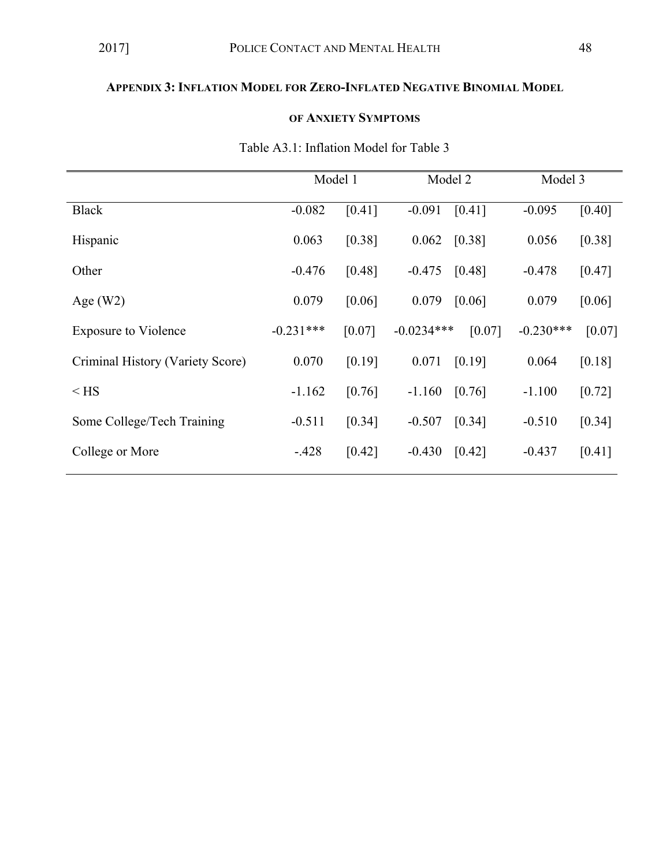## **APPENDIX 3: INFLATION MODEL FOR ZERO-INFLATED NEGATIVE BINOMIAL MODEL**

## **OF ANXIETY SYMPTOMS**

|                                  |             | Model 1 |              | Model 2 | Model 3     |        |
|----------------------------------|-------------|---------|--------------|---------|-------------|--------|
| <b>Black</b>                     | $-0.082$    | [0.41]  | $-0.091$     | [0.41]  | $-0.095$    | [0.40] |
| Hispanic                         | 0.063       | [0.38]  | 0.062        | [0.38]  | 0.056       | [0.38] |
| Other                            | $-0.476$    | [0.48]  | $-0.475$     | [0.48]  | $-0.478$    | [0.47] |
| Age $(W2)$                       | 0.079       | [0.06]  | 0.079        | [0.06]  | 0.079       | [0.06] |
| <b>Exposure to Violence</b>      | $-0.231***$ | [0.07]  | $-0.0234***$ | [0.07]  | $-0.230***$ | [0.07] |
| Criminal History (Variety Score) | 0.070       | [0.19]  | 0.071        | [0.19]  | 0.064       | [0.18] |
| $<$ HS                           | $-1.162$    | [0.76]  | $-1.160$     | [0.76]  | $-1.100$    | [0.72] |
| Some College/Tech Training       | $-0.511$    | [0.34]  | $-0.507$     | [0.34]  | $-0.510$    | [0.34] |
| College or More                  | $-428$      | [0.42]  | $-0.430$     | [0.42]  | $-0.437$    | [0.41] |

## Table A3.1: Inflation Model for Table 3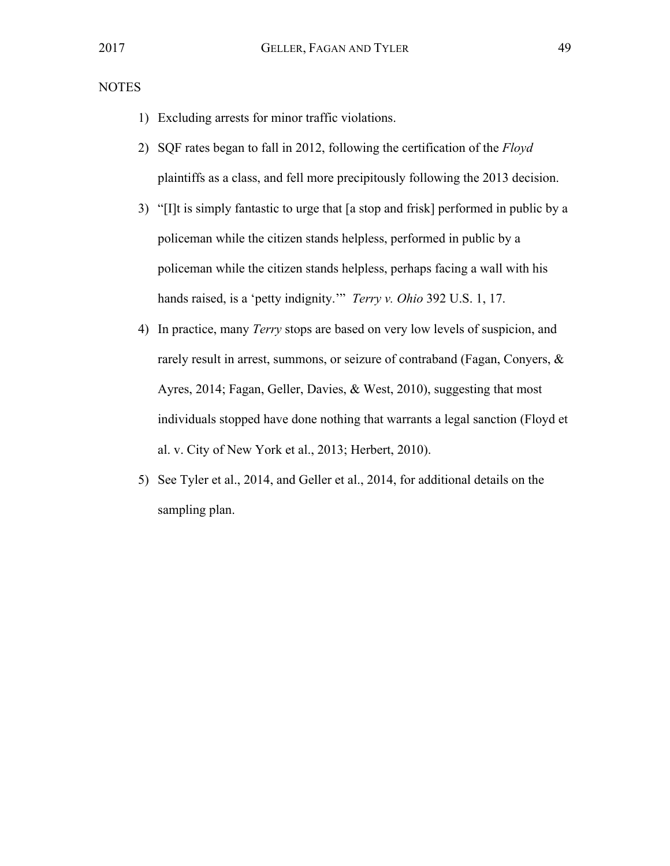NOTES

- 1) Excluding arrests for minor traffic violations.
- 2) SQF rates began to fall in 2012, following the certification of the *Floyd*  plaintiffs as a class, and fell more precipitously following the 2013 decision.
- 3) "[I]t is simply fantastic to urge that [a stop and frisk] performed in public by a policeman while the citizen stands helpless, performed in public by a policeman while the citizen stands helpless, perhaps facing a wall with his hands raised, is a 'petty indignity.'" *Terry v. Ohio* 392 U.S. 1, 17.
- 4) In practice, many *Terry* stops are based on very low levels of suspicion, and rarely result in arrest, summons, or seizure of contraband (Fagan, Conyers, & Ayres, 2014; Fagan, Geller, Davies, & West, 2010), suggesting that most individuals stopped have done nothing that warrants a legal sanction (Floyd et al. v. City of New York et al., 2013; Herbert, 2010).
- 5) See Tyler et al., 2014, and Geller et al., 2014, for additional details on the sampling plan.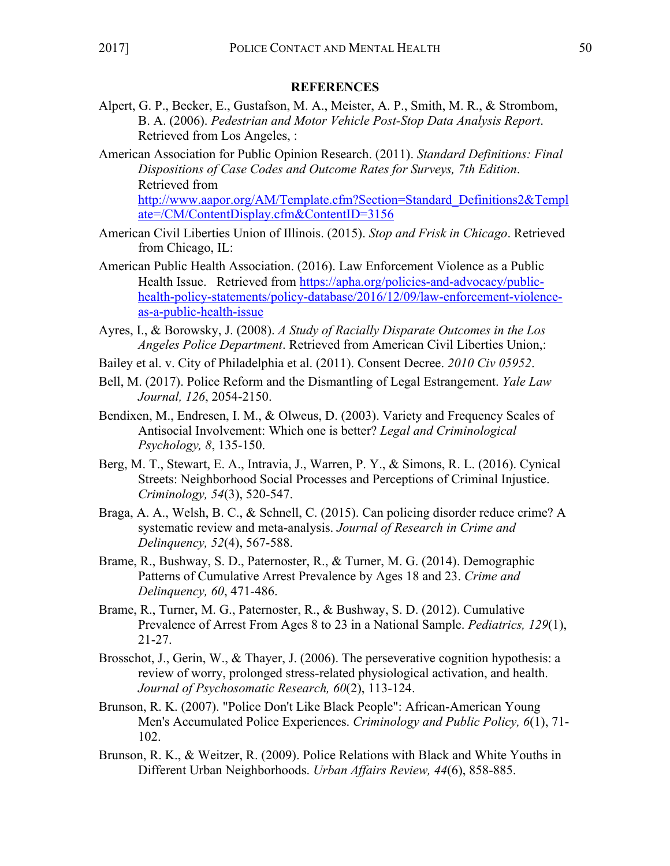## **REFERENCES**

- Alpert, G. P., Becker, E., Gustafson, M. A., Meister, A. P., Smith, M. R., & Strombom, B. A. (2006). *Pedestrian and Motor Vehicle Post-Stop Data Analysis Report*. Retrieved from Los Angeles, :
- American Association for Public Opinion Research. (2011). *Standard Definitions: Final Dispositions of Case Codes and Outcome Rates for Surveys, 7th Edition*. Retrieved from

http://www.aapor.org/AM/Template.cfm?Section=Standard\_Definitions2&Templ ate=/CM/ContentDisplay.cfm&ContentID=3156

- American Civil Liberties Union of Illinois. (2015). *Stop and Frisk in Chicago*. Retrieved from Chicago, IL:
- American Public Health Association. (2016). Law Enforcement Violence as a Public Health Issue. Retrieved from https://apha.org/policies-and-advocacy/publichealth-policy-statements/policy-database/2016/12/09/law-enforcement-violenceas-a-public-health-issue
- Ayres, I., & Borowsky, J. (2008). *A Study of Racially Disparate Outcomes in the Los Angeles Police Department*. Retrieved from American Civil Liberties Union,:
- Bailey et al. v. City of Philadelphia et al. (2011). Consent Decree. *2010 Civ 05952*.
- Bell, M. (2017). Police Reform and the Dismantling of Legal Estrangement. *Yale Law Journal, 126*, 2054-2150.
- Bendixen, M., Endresen, I. M., & Olweus, D. (2003). Variety and Frequency Scales of Antisocial Involvement: Which one is better? *Legal and Criminological Psychology, 8*, 135-150.
- Berg, M. T., Stewart, E. A., Intravia, J., Warren, P. Y., & Simons, R. L. (2016). Cynical Streets: Neighborhood Social Processes and Perceptions of Criminal Injustice. *Criminology, 54*(3), 520-547.
- Braga, A. A., Welsh, B. C., & Schnell, C. (2015). Can policing disorder reduce crime? A systematic review and meta-analysis. *Journal of Research in Crime and Delinquency, 52*(4), 567-588.
- Brame, R., Bushway, S. D., Paternoster, R., & Turner, M. G. (2014). Demographic Patterns of Cumulative Arrest Prevalence by Ages 18 and 23. *Crime and Delinquency, 60*, 471-486.
- Brame, R., Turner, M. G., Paternoster, R., & Bushway, S. D. (2012). Cumulative Prevalence of Arrest From Ages 8 to 23 in a National Sample. *Pediatrics, 129*(1), 21-27.
- Brosschot, J., Gerin, W., & Thayer, J. (2006). The perseverative cognition hypothesis: a review of worry, prolonged stress-related physiological activation, and health. *Journal of Psychosomatic Research, 60*(2), 113-124.
- Brunson, R. K. (2007). "Police Don't Like Black People": African-American Young Men's Accumulated Police Experiences. *Criminology and Public Policy, 6*(1), 71- 102.
- Brunson, R. K., & Weitzer, R. (2009). Police Relations with Black and White Youths in Different Urban Neighborhoods. *Urban Affairs Review, 44*(6), 858-885.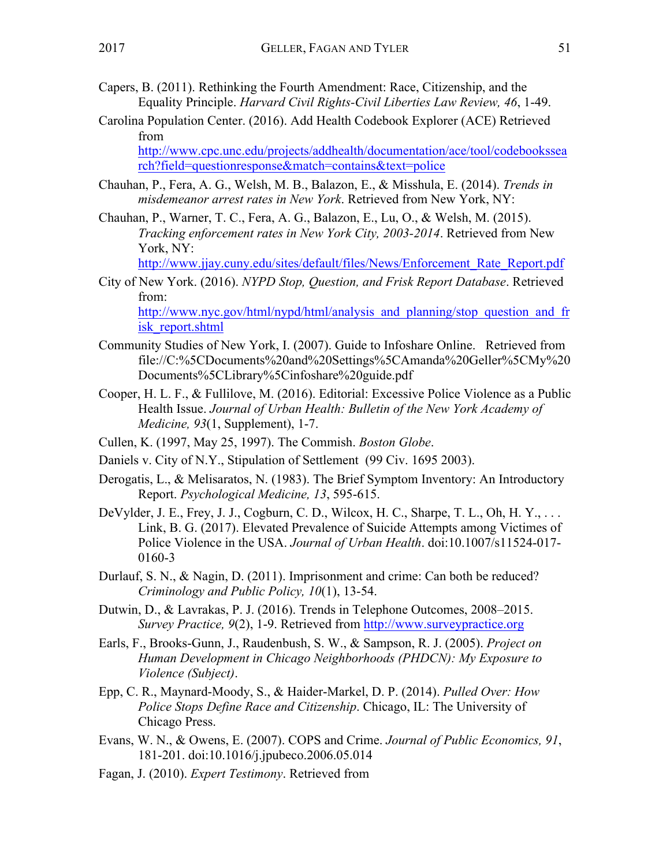- Capers, B. (2011). Rethinking the Fourth Amendment: Race, Citizenship, and the Equality Principle. *Harvard Civil Rights-Civil Liberties Law Review, 46*, 1-49.
- Carolina Population Center. (2016). Add Health Codebook Explorer (ACE) Retrieved from

http://www.cpc.unc.edu/projects/addhealth/documentation/ace/tool/codebookssea rch?field=questionresponse&match=contains&text=police

- Chauhan, P., Fera, A. G., Welsh, M. B., Balazon, E., & Misshula, E. (2014). *Trends in misdemeanor arrest rates in New York*. Retrieved from New York, NY:
- Chauhan, P., Warner, T. C., Fera, A. G., Balazon, E., Lu, O., & Welsh, M. (2015). *Tracking enforcement rates in New York City, 2003-2014*. Retrieved from New York, NY:

http://www.jjay.cuny.edu/sites/default/files/News/Enforcement\_Rate\_Report.pdf

- City of New York. (2016). *NYPD Stop, Question, and Frisk Report Database*. Retrieved from: http://www.nyc.gov/html/nypd/html/analysis and planning/stop question and fr isk\_report.shtml
- Community Studies of New York, I. (2007). Guide to Infoshare Online. Retrieved from file://C:%5CDocuments%20and%20Settings%5CAmanda%20Geller%5CMy%20 Documents%5CLibrary%5Cinfoshare%20guide.pdf
- Cooper, H. L. F., & Fullilove, M. (2016). Editorial: Excessive Police Violence as a Public Health Issue. *Journal of Urban Health: Bulletin of the New York Academy of Medicine, 93*(1, Supplement), 1-7.
- Cullen, K. (1997, May 25, 1997). The Commish. *Boston Globe*.
- Daniels v. City of N.Y., Stipulation of Settlement (99 Civ. 1695 2003).
- Derogatis, L., & Melisaratos, N. (1983). The Brief Symptom Inventory: An Introductory Report. *Psychological Medicine, 13*, 595-615.
- DeVylder, J. E., Frey, J. J., Cogburn, C. D., Wilcox, H. C., Sharpe, T. L., Oh, H. Y., ... Link, B. G. (2017). Elevated Prevalence of Suicide Attempts among Victimes of Police Violence in the USA. *Journal of Urban Health*. doi:10.1007/s11524-017- 0160-3
- Durlauf, S. N., & Nagin, D. (2011). Imprisonment and crime: Can both be reduced? *Criminology and Public Policy, 10*(1), 13-54.
- Dutwin, D., & Lavrakas, P. J. (2016). Trends in Telephone Outcomes, 2008–2015. *Survey Practice, 9(2), 1-9.* Retrieved from http://www.surveypractice.org
- Earls, F., Brooks-Gunn, J., Raudenbush, S. W., & Sampson, R. J. (2005). *Project on Human Development in Chicago Neighborhoods (PHDCN): My Exposure to Violence (Subject)*.
- Epp, C. R., Maynard-Moody, S., & Haider-Markel, D. P. (2014). *Pulled Over: How Police Stops Define Race and Citizenship*. Chicago, IL: The University of Chicago Press.
- Evans, W. N., & Owens, E. (2007). COPS and Crime. *Journal of Public Economics, 91*, 181-201. doi:10.1016/j.jpubeco.2006.05.014
- Fagan, J. (2010). *Expert Testimony*. Retrieved from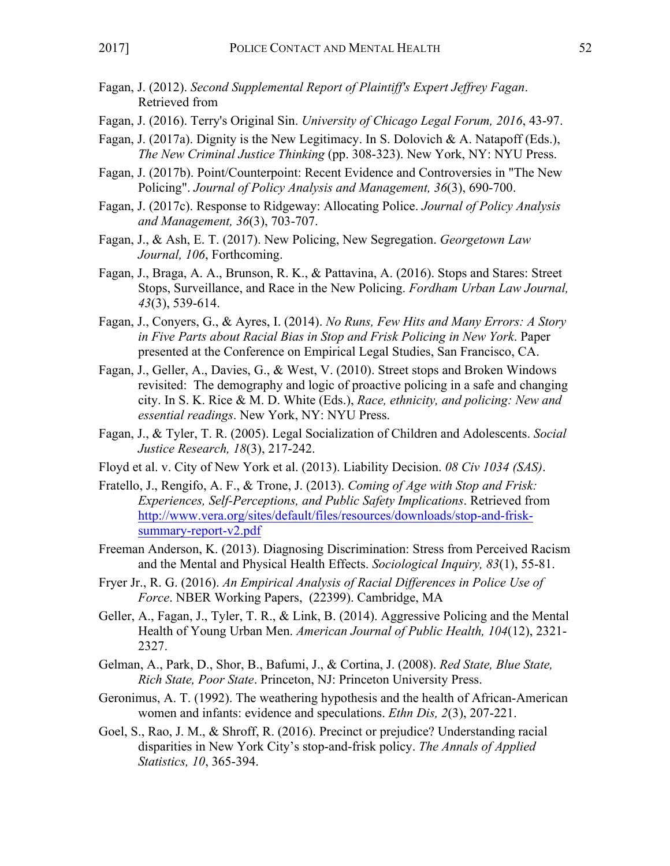- Fagan, J. (2012). *Second Supplemental Report of Plaintiff's Expert Jeffrey Fagan*. Retrieved from
- Fagan, J. (2016). Terry's Original Sin. *University of Chicago Legal Forum, 2016*, 43-97.
- Fagan, J. (2017a). Dignity is the New Legitimacy. In S. Dolovich & A. Natapoff (Eds.), *The New Criminal Justice Thinking* (pp. 308-323). New York, NY: NYU Press.
- Fagan, J. (2017b). Point/Counterpoint: Recent Evidence and Controversies in "The New Policing". *Journal of Policy Analysis and Management, 36*(3), 690-700.
- Fagan, J. (2017c). Response to Ridgeway: Allocating Police. *Journal of Policy Analysis and Management, 36*(3), 703-707.
- Fagan, J., & Ash, E. T. (2017). New Policing, New Segregation. *Georgetown Law Journal, 106*, Forthcoming.
- Fagan, J., Braga, A. A., Brunson, R. K., & Pattavina, A. (2016). Stops and Stares: Street Stops, Surveillance, and Race in the New Policing. *Fordham Urban Law Journal, 43*(3), 539-614.
- Fagan, J., Conyers, G., & Ayres, I. (2014). *No Runs, Few Hits and Many Errors: A Story in Five Parts about Racial Bias in Stop and Frisk Policing in New York*. Paper presented at the Conference on Empirical Legal Studies, San Francisco, CA.
- Fagan, J., Geller, A., Davies, G., & West, V. (2010). Street stops and Broken Windows revisited: The demography and logic of proactive policing in a safe and changing city. In S. K. Rice & M. D. White (Eds.), *Race, ethnicity, and policing: New and essential readings*. New York, NY: NYU Press.
- Fagan, J., & Tyler, T. R. (2005). Legal Socialization of Children and Adolescents. *Social Justice Research, 18*(3), 217-242.
- Floyd et al. v. City of New York et al. (2013). Liability Decision. *08 Civ 1034 (SAS)*.
- Fratello, J., Rengifo, A. F., & Trone, J. (2013). *Coming of Age with Stop and Frisk: Experiences, Self-Perceptions, and Public Safety Implications*. Retrieved from http://www.vera.org/sites/default/files/resources/downloads/stop-and-frisksummary-report-v2.pdf
- Freeman Anderson, K. (2013). Diagnosing Discrimination: Stress from Perceived Racism and the Mental and Physical Health Effects. *Sociological Inquiry, 83*(1), 55-81.
- Fryer Jr., R. G. (2016). *An Empirical Analysis of Racial Differences in Police Use of Force*. NBER Working Papers, (22399). Cambridge, MA
- Geller, A., Fagan, J., Tyler, T. R., & Link, B. (2014). Aggressive Policing and the Mental Health of Young Urban Men. *American Journal of Public Health, 104*(12), 2321- 2327.
- Gelman, A., Park, D., Shor, B., Bafumi, J., & Cortina, J. (2008). *Red State, Blue State, Rich State, Poor State*. Princeton, NJ: Princeton University Press.
- Geronimus, A. T. (1992). The weathering hypothesis and the health of African-American women and infants: evidence and speculations. *Ethn Dis, 2*(3), 207-221.
- Goel, S., Rao, J. M., & Shroff, R. (2016). Precinct or prejudice? Understanding racial disparities in New York City's stop-and-frisk policy. *The Annals of Applied Statistics, 10*, 365-394.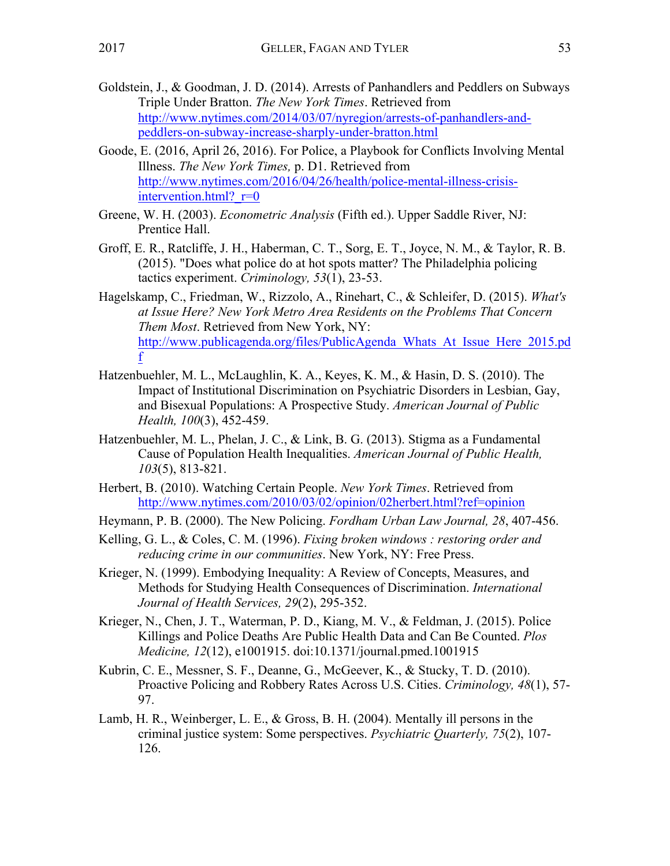- Goode, E. (2016, April 26, 2016). For Police, a Playbook for Conflicts Involving Mental Illness. *The New York Times,* p. D1. Retrieved from http://www.nytimes.com/2016/04/26/health/police-mental-illness-crisisintervention.html?  $r=0$
- Greene, W. H. (2003). *Econometric Analysis* (Fifth ed.). Upper Saddle River, NJ: Prentice Hall.
- Groff, E. R., Ratcliffe, J. H., Haberman, C. T., Sorg, E. T., Joyce, N. M., & Taylor, R. B. (2015). "Does what police do at hot spots matter? The Philadelphia policing tactics experiment. *Criminology, 53*(1), 23-53.
- Hagelskamp, C., Friedman, W., Rizzolo, A., Rinehart, C., & Schleifer, D. (2015). *What's at Issue Here? New York Metro Area Residents on the Problems That Concern Them Most*. Retrieved from New York, NY: http://www.publicagenda.org/files/PublicAgenda\_Whats\_At\_Issue\_Here\_2015.pd f
- Hatzenbuehler, M. L., McLaughlin, K. A., Keyes, K. M., & Hasin, D. S. (2010). The Impact of Institutional Discrimination on Psychiatric Disorders in Lesbian, Gay, and Bisexual Populations: A Prospective Study. *American Journal of Public Health, 100*(3), 452-459.
- Hatzenbuehler, M. L., Phelan, J. C., & Link, B. G. (2013). Stigma as a Fundamental Cause of Population Health Inequalities. *American Journal of Public Health, 103*(5), 813-821.
- Herbert, B. (2010). Watching Certain People. *New York Times*. Retrieved from http://www.nytimes.com/2010/03/02/opinion/02herbert.html?ref=opinion
- Heymann, P. B. (2000). The New Policing. *Fordham Urban Law Journal, 28*, 407-456.
- Kelling, G. L., & Coles, C. M. (1996). *Fixing broken windows : restoring order and reducing crime in our communities*. New York, NY: Free Press.
- Krieger, N. (1999). Embodying Inequality: A Review of Concepts, Measures, and Methods for Studying Health Consequences of Discrimination. *International Journal of Health Services, 29*(2), 295-352.
- Krieger, N., Chen, J. T., Waterman, P. D., Kiang, M. V., & Feldman, J. (2015). Police Killings and Police Deaths Are Public Health Data and Can Be Counted. *Plos Medicine, 12*(12), e1001915. doi:10.1371/journal.pmed.1001915
- Kubrin, C. E., Messner, S. F., Deanne, G., McGeever, K., & Stucky, T. D. (2010). Proactive Policing and Robbery Rates Across U.S. Cities. *Criminology, 48*(1), 57- 97.
- Lamb, H. R., Weinberger, L. E., & Gross, B. H. (2004). Mentally ill persons in the criminal justice system: Some perspectives. *Psychiatric Quarterly, 75*(2), 107- 126.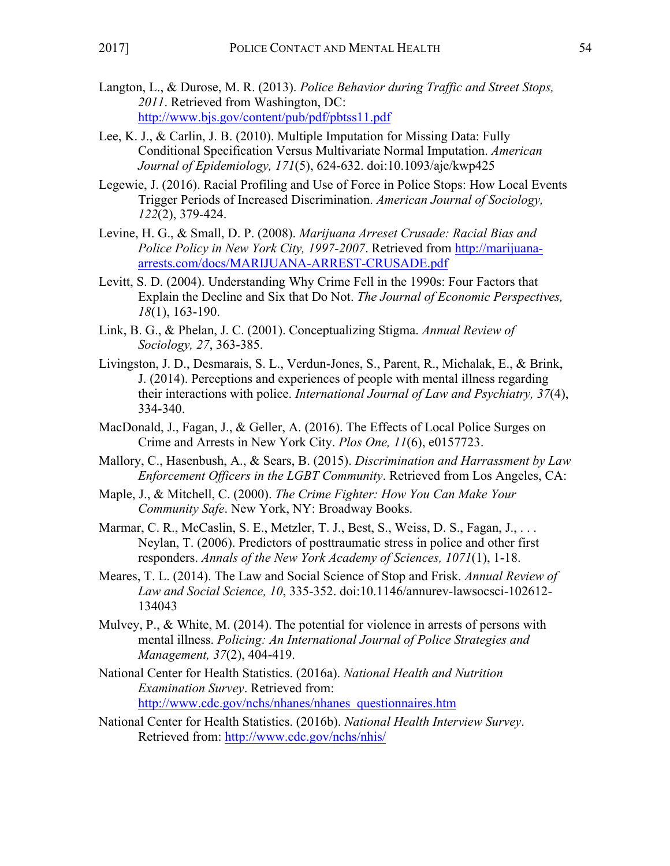- Langton, L., & Durose, M. R. (2013). *Police Behavior during Traffic and Street Stops, 2011*. Retrieved from Washington, DC: http://www.bjs.gov/content/pub/pdf/pbtss11.pdf
- Lee, K. J., & Carlin, J. B. (2010). Multiple Imputation for Missing Data: Fully Conditional Specification Versus Multivariate Normal Imputation. *American Journal of Epidemiology, 171*(5), 624-632. doi:10.1093/aje/kwp425
- Legewie, J. (2016). Racial Profiling and Use of Force in Police Stops: How Local Events Trigger Periods of Increased Discrimination. *American Journal of Sociology, 122*(2), 379-424.
- Levine, H. G., & Small, D. P. (2008). *Marijuana Arreset Crusade: Racial Bias and Police Policy in New York City, 1997-2007*. Retrieved from http://marijuanaarrests.com/docs/MARIJUANA-ARREST-CRUSADE.pdf
- Levitt, S. D. (2004). Understanding Why Crime Fell in the 1990s: Four Factors that Explain the Decline and Six that Do Not. *The Journal of Economic Perspectives, 18*(1), 163-190.
- Link, B. G., & Phelan, J. C. (2001). Conceptualizing Stigma. *Annual Review of Sociology, 27*, 363-385.
- Livingston, J. D., Desmarais, S. L., Verdun-Jones, S., Parent, R., Michalak, E., & Brink, J. (2014). Perceptions and experiences of people with mental illness regarding their interactions with police. *International Journal of Law and Psychiatry, 37*(4), 334-340.
- MacDonald, J., Fagan, J., & Geller, A. (2016). The Effects of Local Police Surges on Crime and Arrests in New York City. *Plos One, 11*(6), e0157723.
- Mallory, C., Hasenbush, A., & Sears, B. (2015). *Discrimination and Harrassment by Law Enforcement Officers in the LGBT Community*. Retrieved from Los Angeles, CA:
- Maple, J., & Mitchell, C. (2000). *The Crime Fighter: How You Can Make Your Community Safe*. New York, NY: Broadway Books.
- Marmar, C. R., McCaslin, S. E., Metzler, T. J., Best, S., Weiss, D. S., Fagan, J., . . . Neylan, T. (2006). Predictors of posttraumatic stress in police and other first responders. *Annals of the New York Academy of Sciences, 1071*(1), 1-18.
- Meares, T. L. (2014). The Law and Social Science of Stop and Frisk. *Annual Review of Law and Social Science, 10*, 335-352. doi:10.1146/annurev-lawsocsci-102612- 134043
- Mulvey, P., & White, M. (2014). The potential for violence in arrests of persons with mental illness. *Policing: An International Journal of Police Strategies and Management, 37*(2), 404-419.
- National Center for Health Statistics. (2016a). *National Health and Nutrition Examination Survey*. Retrieved from: http://www.cdc.gov/nchs/nhanes/nhanes\_questionnaires.htm
- National Center for Health Statistics. (2016b). *National Health Interview Survey*. Retrieved from: http://www.cdc.gov/nchs/nhis/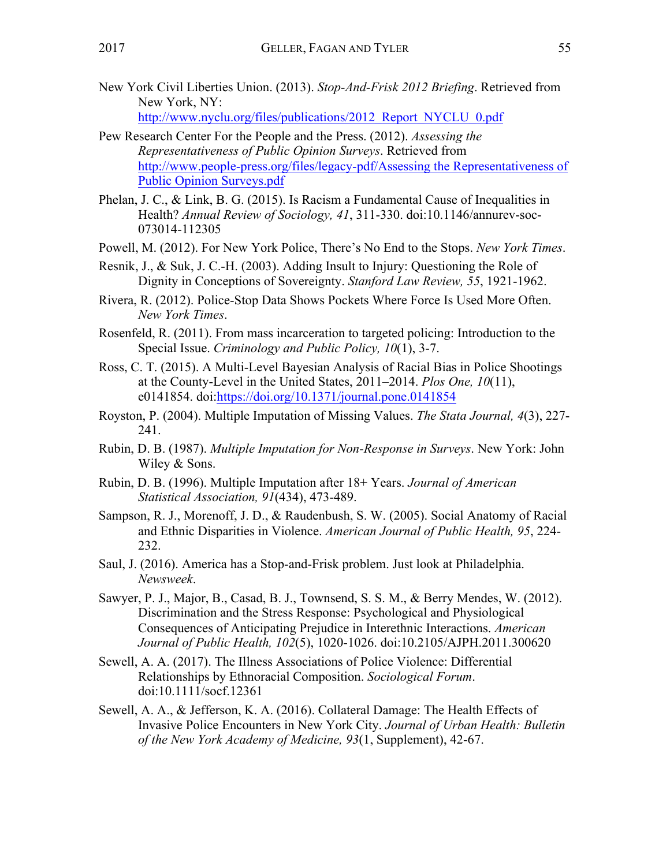New York Civil Liberties Union. (2013). *Stop-And-Frisk 2012 Briefing*. Retrieved from New York, NY:

http://www.nyclu.org/files/publications/2012\_Report\_NYCLU\_0.pdf

- Pew Research Center For the People and the Press. (2012). *Assessing the Representativeness of Public Opinion Surveys*. Retrieved from http://www.people-press.org/files/legacy-pdf/Assessing the Representativeness of Public Opinion Surveys.pdf
- Phelan, J. C., & Link, B. G. (2015). Is Racism a Fundamental Cause of Inequalities in Health? *Annual Review of Sociology, 41*, 311-330. doi:10.1146/annurev-soc-073014-112305
- Powell, M. (2012). For New York Police, There's No End to the Stops. *New York Times*.
- Resnik, J., & Suk, J. C.-H. (2003). Adding Insult to Injury: Questioning the Role of Dignity in Conceptions of Sovereignty. *Stanford Law Review, 55*, 1921-1962.
- Rivera, R. (2012). Police-Stop Data Shows Pockets Where Force Is Used More Often. *New York Times*.
- Rosenfeld, R. (2011). From mass incarceration to targeted policing: Introduction to the Special Issue. *Criminology and Public Policy, 10*(1), 3-7.
- Ross, C. T. (2015). A Multi-Level Bayesian Analysis of Racial Bias in Police Shootings at the County-Level in the United States, 2011–2014. *Plos One, 10*(11), e0141854. doi:https://doi.org/10.1371/journal.pone.0141854
- Royston, P. (2004). Multiple Imputation of Missing Values. *The Stata Journal, 4*(3), 227- 241.
- Rubin, D. B. (1987). *Multiple Imputation for Non-Response in Surveys*. New York: John Wiley & Sons.
- Rubin, D. B. (1996). Multiple Imputation after 18+ Years. *Journal of American Statistical Association, 91*(434), 473-489.
- Sampson, R. J., Morenoff, J. D., & Raudenbush, S. W. (2005). Social Anatomy of Racial and Ethnic Disparities in Violence. *American Journal of Public Health, 95*, 224- 232.
- Saul, J. (2016). America has a Stop-and-Frisk problem. Just look at Philadelphia. *Newsweek*.
- Sawyer, P. J., Major, B., Casad, B. J., Townsend, S. S. M., & Berry Mendes, W. (2012). Discrimination and the Stress Response: Psychological and Physiological Consequences of Anticipating Prejudice in Interethnic Interactions. *American Journal of Public Health, 102*(5), 1020-1026. doi:10.2105/AJPH.2011.300620
- Sewell, A. A. (2017). The Illness Associations of Police Violence: Differential Relationships by Ethnoracial Composition. *Sociological Forum*. doi:10.1111/socf.12361
- Sewell, A. A., & Jefferson, K. A. (2016). Collateral Damage: The Health Effects of Invasive Police Encounters in New York City. *Journal of Urban Health: Bulletin of the New York Academy of Medicine, 93*(1, Supplement), 42-67.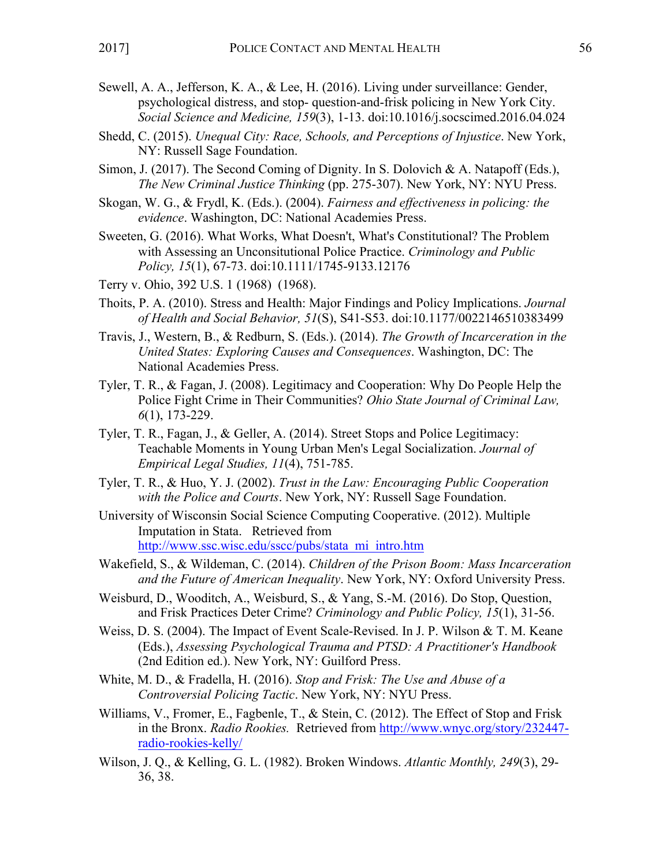- Sewell, A. A., Jefferson, K. A., & Lee, H. (2016). Living under surveillance: Gender, psychological distress, and stop- question-and-frisk policing in New York City. *Social Science and Medicine, 159*(3), 1-13. doi:10.1016/j.socscimed.2016.04.024
- Shedd, C. (2015). *Unequal City: Race, Schools, and Perceptions of Injustice*. New York, NY: Russell Sage Foundation.
- Simon, J. (2017). The Second Coming of Dignity. In S. Dolovich & A. Natapoff (Eds.), *The New Criminal Justice Thinking* (pp. 275-307). New York, NY: NYU Press.
- Skogan, W. G., & Frydl, K. (Eds.). (2004). *Fairness and effectiveness in policing: the evidence*. Washington, DC: National Academies Press.
- Sweeten, G. (2016). What Works, What Doesn't, What's Constitutional? The Problem with Assessing an Unconsitutional Police Practice. *Criminology and Public Policy, 15*(1), 67-73. doi:10.1111/1745-9133.12176
- Terry v. Ohio, 392 U.S. 1 (1968) (1968).
- Thoits, P. A. (2010). Stress and Health: Major Findings and Policy Implications. *Journal of Health and Social Behavior, 51*(S), S41-S53. doi:10.1177/0022146510383499
- Travis, J., Western, B., & Redburn, S. (Eds.). (2014). *The Growth of Incarceration in the United States: Exploring Causes and Consequences*. Washington, DC: The National Academies Press.
- Tyler, T. R., & Fagan, J. (2008). Legitimacy and Cooperation: Why Do People Help the Police Fight Crime in Their Communities? *Ohio State Journal of Criminal Law, 6*(1), 173-229.
- Tyler, T. R., Fagan, J., & Geller, A. (2014). Street Stops and Police Legitimacy: Teachable Moments in Young Urban Men's Legal Socialization. *Journal of Empirical Legal Studies, 11*(4), 751-785.
- Tyler, T. R., & Huo, Y. J. (2002). *Trust in the Law: Encouraging Public Cooperation with the Police and Courts*. New York, NY: Russell Sage Foundation.
- University of Wisconsin Social Science Computing Cooperative. (2012). Multiple Imputation in Stata. Retrieved from http://www.ssc.wisc.edu/sscc/pubs/stata\_mi\_intro.htm
- Wakefield, S., & Wildeman, C. (2014). *Children of the Prison Boom: Mass Incarceration and the Future of American Inequality*. New York, NY: Oxford University Press.
- Weisburd, D., Wooditch, A., Weisburd, S., & Yang, S.-M. (2016). Do Stop, Question, and Frisk Practices Deter Crime? *Criminology and Public Policy, 15*(1), 31-56.
- Weiss, D. S. (2004). The Impact of Event Scale-Revised. In J. P. Wilson & T. M. Keane (Eds.), *Assessing Psychological Trauma and PTSD: A Practitioner's Handbook* (2nd Edition ed.). New York, NY: Guilford Press.
- White, M. D., & Fradella, H. (2016). *Stop and Frisk: The Use and Abuse of a Controversial Policing Tactic*. New York, NY: NYU Press.
- Williams, V., Fromer, E., Fagbenle, T., & Stein, C. (2012). The Effect of Stop and Frisk in the Bronx. *Radio Rookies.* Retrieved from http://www.wnyc.org/story/232447 radio-rookies-kelly/
- Wilson, J. Q., & Kelling, G. L. (1982). Broken Windows. *Atlantic Monthly, 249*(3), 29- 36, 38.